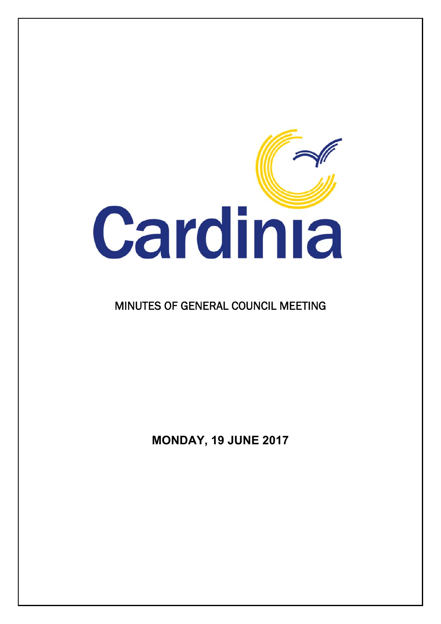

# MINUTES OF GENERAL COUNCIL MEETING

**MONDAY, 19 JUNE 2017**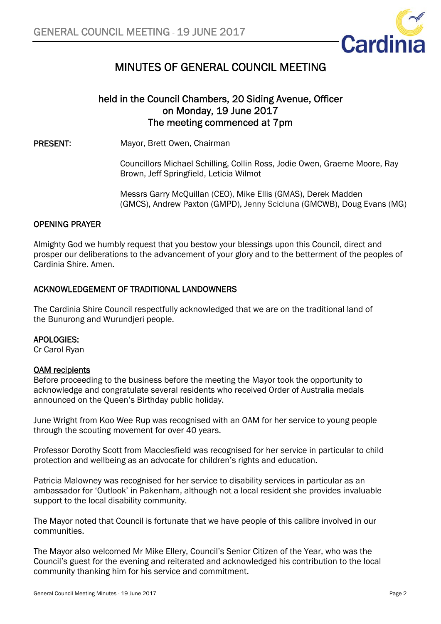

# MINUTES OF GENERAL COUNCIL MEETING

### held in the Council Chambers, 20 Siding Avenue, Officer on Monday, 19 June 2017 The meeting commenced at 7pm

PRESENT: Mayor, Brett Owen, Chairman

Councillors Michael Schilling, Collin Ross, Jodie Owen, Graeme Moore, Ray Brown, Jeff Springfield, Leticia Wilmot

Messrs Garry McQuillan (CEO), Mike Ellis (GMAS), Derek Madden (GMCS), Andrew Paxton (GMPD), Jenny Scicluna (GMCWB), Doug Evans (MG)

### OPENING PRAYER

Almighty God we humbly request that you bestow your blessings upon this Council, direct and prosper our deliberations to the advancement of your glory and to the betterment of the peoples of Cardinia Shire. Amen.

### ACKNOWLEDGEMENT OF TRADITIONAL LANDOWNERS

The Cardinia Shire Council respectfully acknowledged that we are on the traditional land of the Bunurong and Wurundjeri people.

### APOLOGIES:

Cr Carol Ryan

### OAM recipients

Before proceeding to the business before the meeting the Mayor took the opportunity to acknowledge and congratulate several residents who received Order of Australia medals announced on the Queen's Birthday public holiday.

June Wright from Koo Wee Rup was recognised with an OAM for her service to young people through the scouting movement for over 40 years.

Professor Dorothy Scott from Macclesfield was recognised for her service in particular to child protection and wellbeing as an advocate for children's rights and education.

Patricia Malowney was recognised for her service to disability services in particular as an ambassador for 'Outlook' in Pakenham, although not a local resident she provides invaluable support to the local disability community.

The Mayor noted that Council is fortunate that we have people of this calibre involved in our communities.

The Mayor also welcomed Mr Mike Ellery, Council's Senior Citizen of the Year, who was the Council's guest for the evening and reiterated and acknowledged his contribution to the local community thanking him for his service and commitment.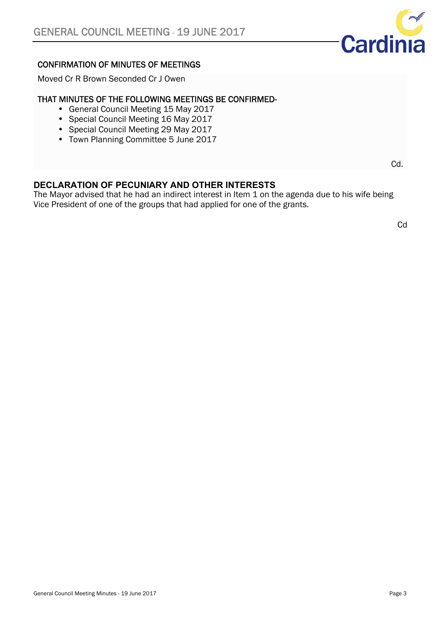

### CONFIRMATION OF MINUTES OF MEETINGS

Moved Cr R Brown Seconded Cr J Owen

### THAT MINUTES OF THE FOLLOWING MEETINGS BE CONFIRMED-

- General Council Meeting 15 May 2017
- Special Council Meeting 16 May 2017
- Special Council Meeting 29 May 2017
- Town Planning Committee 5 June 2017

**DECLARATION OF PECUNIARY AND OTHER INTERESTS** 

The Mayor advised that he had an indirect interest in Item 1 on the agenda due to his wife being Vice President of one of the groups that had applied for one of the grants.

**Cd** 

Cd.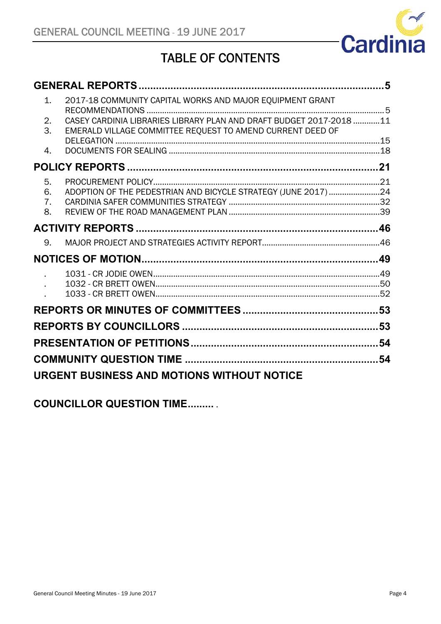

# TABLE OF CONTENTS

| 2017-18 COMMUNITY CAPITAL WORKS AND MAJOR EQUIPMENT GRANT<br>$\mathbf{1}$ .                                                                   |    |
|-----------------------------------------------------------------------------------------------------------------------------------------------|----|
| CASEY CARDINIA LIBRARIES LIBRARY PLAN AND DRAFT BUDGET 2017-2018 11<br>2.<br>3.<br>EMERALD VILLAGE COMMITTEE REQUEST TO AMEND CURRENT DEED OF |    |
|                                                                                                                                               |    |
| 4.                                                                                                                                            |    |
|                                                                                                                                               |    |
| 5.                                                                                                                                            |    |
| ADOPTION OF THE PEDESTRIAN AND BICYCLE STRATEGY (JUNE 2017) 24<br>6.                                                                          |    |
| 7.<br>8.                                                                                                                                      |    |
|                                                                                                                                               |    |
|                                                                                                                                               |    |
| 9.                                                                                                                                            |    |
|                                                                                                                                               |    |
|                                                                                                                                               |    |
|                                                                                                                                               |    |
|                                                                                                                                               |    |
|                                                                                                                                               |    |
|                                                                                                                                               |    |
|                                                                                                                                               | 54 |
|                                                                                                                                               |    |
|                                                                                                                                               |    |

**COUNCILLOR QUESTION TIME.........** .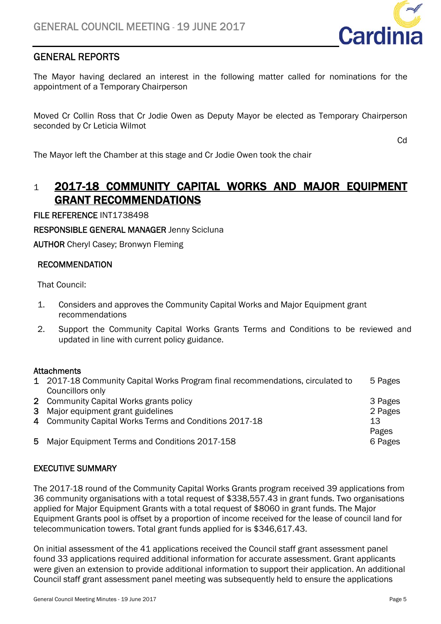

### GENERAL REPORTS

The Mayor having declared an interest in the following matter called for nominations for the appointment of a Temporary Chairperson

Moved Cr Collin Ross that Cr Jodie Owen as Deputy Mayor be elected as Temporary Chairperson seconded by Cr Leticia Wilmot

**Cd** 

The Mayor left the Chamber at this stage and Cr Jodie Owen took the chair

### 1 2017-18 COMMUNITY CAPITAL WORKS AND MAJOR EQUIPMENT GRANT RECOMMENDATIONS

### FILE REFERENCE INT1738498

RESPONSIBLE GENERAL MANAGER Jenny Scicluna

AUTHOR Cheryl Casey; Bronwyn Fleming

### RECOMMENDATION

That Council:

- 1. Considers and approves the Community Capital Works and Major Equipment grant recommendations
- 2. Support the Community Capital Works Grants Terms and Conditions to be reviewed and updated in line with current policy guidance.

### **Attachments**

| 1 2017-18 Community Capital Works Program final recommendations, circulated to | 5 Pages     |
|--------------------------------------------------------------------------------|-------------|
| Councillors only                                                               |             |
| 2 Community Capital Works grants policy                                        | 3 Pages     |
| 3 Major equipment grant guidelines                                             | 2 Pages     |
| 4 Community Capital Works Terms and Conditions 2017-18                         | 13<br>Pages |
| 5 Major Equipment Terms and Conditions 2017-158                                | 6 Pages     |

### EXECUTIVE SUMMARY

The 2017-18 round of the Community Capital Works Grants program received 39 applications from 36 community organisations with a total request of \$338,557.43 in grant funds. Two organisations applied for Major Equipment Grants with a total request of \$8060 in grant funds. The Major Equipment Grants pool is offset by a proportion of income received for the lease of council land for telecommunication towers. Total grant funds applied for is \$346,617.43.

On initial assessment of the 41 applications received the Council staff grant assessment panel found 33 applications required additional information for accurate assessment. Grant applicants were given an extension to provide additional information to support their application. An additional Council staff grant assessment panel meeting was subsequently held to ensure the applications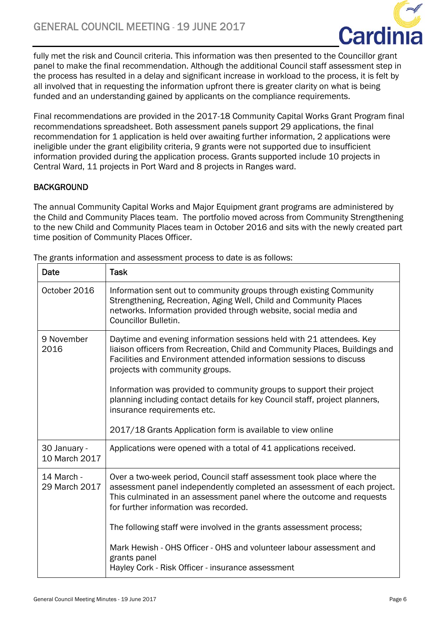

fully met the risk and Council criteria. This information was then presented to the Councillor grant panel to make the final recommendation. Although the additional Council staff assessment step in the process has resulted in a delay and significant increase in workload to the process, it is felt by all involved that in requesting the information upfront there is greater clarity on what is being funded and an understanding gained by applicants on the compliance requirements.

Final recommendations are provided in the 2017-18 Community Capital Works Grant Program final recommendations spreadsheet. Both assessment panels support 29 applications, the final recommendation for 1 application is held over awaiting further information, 2 applications were ineligible under the grant eligibility criteria, 9 grants were not supported due to insufficient information provided during the application process. Grants supported include 10 projects in Central Ward, 11 projects in Port Ward and 8 projects in Ranges ward.

### **BACKGROUND**

The annual Community Capital Works and Major Equipment grant programs are administered by the Child and Community Places team. The portfolio moved across from Community Strengthening to the new Child and Community Places team in October 2016 and sits with the newly created part time position of Community Places Officer.

| Date                          | <b>Task</b>                                                                                                                                                                                                                                                                                                                                                                                                           |
|-------------------------------|-----------------------------------------------------------------------------------------------------------------------------------------------------------------------------------------------------------------------------------------------------------------------------------------------------------------------------------------------------------------------------------------------------------------------|
| October 2016                  | Information sent out to community groups through existing Community<br>Strengthening, Recreation, Aging Well, Child and Community Places<br>networks. Information provided through website, social media and<br><b>Councillor Bulletin.</b>                                                                                                                                                                           |
| 9 November<br>2016            | Daytime and evening information sessions held with 21 attendees. Key<br>liaison officers from Recreation, Child and Community Places, Buildings and<br>Facilities and Environment attended information sessions to discuss<br>projects with community groups.<br>Information was provided to community groups to support their project<br>planning including contact details for key Council staff, project planners, |
|                               | insurance requirements etc.                                                                                                                                                                                                                                                                                                                                                                                           |
|                               | 2017/18 Grants Application form is available to view online                                                                                                                                                                                                                                                                                                                                                           |
| 30 January -<br>10 March 2017 | Applications were opened with a total of 41 applications received.                                                                                                                                                                                                                                                                                                                                                    |
| 14 March -<br>29 March 2017   | Over a two-week period, Council staff assessment took place where the<br>assessment panel independently completed an assessment of each project.<br>This culminated in an assessment panel where the outcome and requests<br>for further information was recorded.                                                                                                                                                    |
|                               | The following staff were involved in the grants assessment process;                                                                                                                                                                                                                                                                                                                                                   |
|                               | Mark Hewish - OHS Officer - OHS and volunteer labour assessment and<br>grants panel<br>Hayley Cork - Risk Officer - insurance assessment                                                                                                                                                                                                                                                                              |
|                               |                                                                                                                                                                                                                                                                                                                                                                                                                       |

The grants information and assessment process to date is as follows: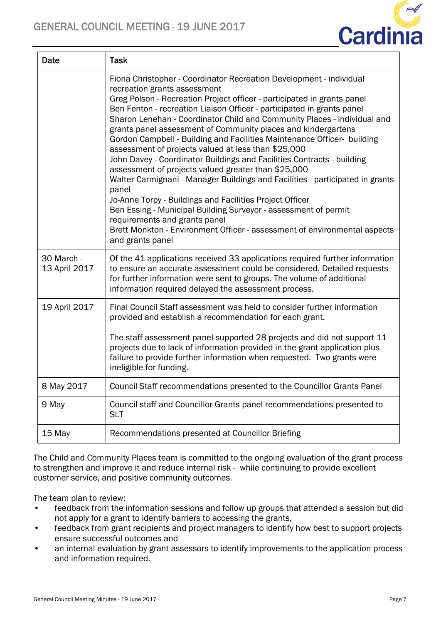

| Date                        | <b>Task</b>                                                                                                                                                                                                                                                                                                                                                                                                                                                                                                                                                                                                                                                                                                                                                                                                                                                                                                                                                                                                                         |
|-----------------------------|-------------------------------------------------------------------------------------------------------------------------------------------------------------------------------------------------------------------------------------------------------------------------------------------------------------------------------------------------------------------------------------------------------------------------------------------------------------------------------------------------------------------------------------------------------------------------------------------------------------------------------------------------------------------------------------------------------------------------------------------------------------------------------------------------------------------------------------------------------------------------------------------------------------------------------------------------------------------------------------------------------------------------------------|
|                             | Fiona Christopher - Coordinator Recreation Development - individual<br>recreation grants assessment<br>Greg Polson - Recreation Project officer - participated in grants panel<br>Ben Fenton - recreation Liaison Officer - participated in grants panel<br>Sharon Lenehan - Coordinator Child and Community Places - individual and<br>grants panel assessment of Community places and kindergartens<br>Gordon Campbell - Building and Facilities Maintenance Officer- building<br>assessment of projects valued at less than \$25,000<br>John Davey - Coordinator Buildings and Facilities Contracts - building<br>assessment of projects valued greater than \$25,000<br>Walter Carmignani - Manager Buildings and Facilities - participated in grants<br>panel<br>Jo-Anne Torpy - Buildings and Facilities Project Officer<br>Ben Essing - Municipal Building Surveyor - assessment of permit<br>requirements and grants panel<br>Brett Monkton - Environment Officer - assessment of environmental aspects<br>and grants panel |
| 30 March -<br>13 April 2017 | Of the 41 applications received 33 applications required further information<br>to ensure an accurate assessment could be considered. Detailed requests<br>for further information were sent to groups. The volume of additional<br>information required delayed the assessment process.                                                                                                                                                                                                                                                                                                                                                                                                                                                                                                                                                                                                                                                                                                                                            |
| 19 April 2017               | Final Council Staff assessment was held to consider further information<br>provided and establish a recommendation for each grant.<br>The staff assessment panel supported 28 projects and did not support 11<br>projects due to lack of information provided in the grant application plus<br>failure to provide further information when requested. Two grants were<br>ineligible for funding.                                                                                                                                                                                                                                                                                                                                                                                                                                                                                                                                                                                                                                    |
| 8 May 2017                  | Council Staff recommendations presented to the Councillor Grants Panel                                                                                                                                                                                                                                                                                                                                                                                                                                                                                                                                                                                                                                                                                                                                                                                                                                                                                                                                                              |
| 9 May                       | Council staff and Councillor Grants panel recommendations presented to<br><b>SLT</b>                                                                                                                                                                                                                                                                                                                                                                                                                                                                                                                                                                                                                                                                                                                                                                                                                                                                                                                                                |
| 15 May                      | Recommendations presented at Councillor Briefing                                                                                                                                                                                                                                                                                                                                                                                                                                                                                                                                                                                                                                                                                                                                                                                                                                                                                                                                                                                    |

The Child and Community Places team is committed to the ongoing evaluation of the grant process to strengthen and improve it and reduce internal risk - while continuing to provide excellent customer service, and positive community outcomes.

The team plan to review:

- feedback from the information sessions and follow up groups that attended a session but did not apply for a grant to identify barriers to accessing the grants,
- feedback from grant recipients and project managers to identify how best to support projects ensure successful outcomes and
- an internal evaluation by grant assessors to identify improvements to the application process and information required.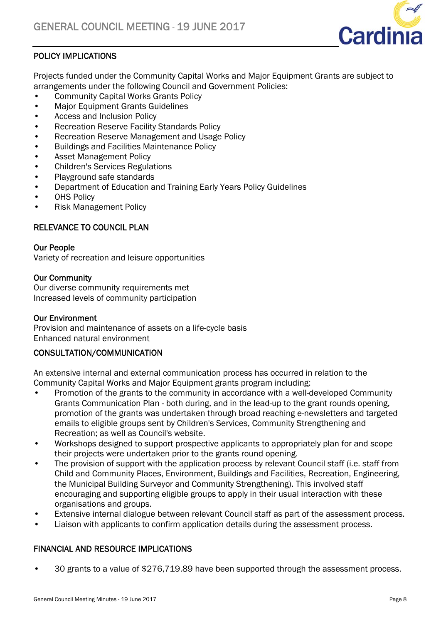

### POLICY IMPLICATIONS

Projects funded under the Community Capital Works and Major Equipment Grants are subject to arrangements under the following Council and Government Policies:

- Community Capital Works Grants Policy
- Major Equipment Grants Guidelines
- Access and Inclusion Policy
- Recreation Reserve Facility Standards Policy
- Recreation Reserve Management and Usage Policy
- Buildings and Facilities Maintenance Policy
- Asset Management Policy
- Children's Services Regulations
- Playground safe standards
- Department of Education and Training Early Years Policy Guidelines
- OHS Policy
- Risk Management Policy

### RELEVANCE TO COUNCIL PLAN

#### Our People

Variety of recreation and leisure opportunities

### Our Community

Our diverse community requirements met Increased levels of community participation

### Our Environment

Provision and maintenance of assets on a life-cycle basis Enhanced natural environment

### CONSULTATION/COMMUNICATION

An extensive internal and external communication process has occurred in relation to the Community Capital Works and Major Equipment grants program including:

- Promotion of the grants to the community in accordance with a well-developed Community Grants Communication Plan - both during, and in the lead-up to the grant rounds opening, promotion of the grants was undertaken through broad reaching e-newsletters and targeted emails to eligible groups sent by Children's Services, Community Strengthening and Recreation; as well as Council's website.
- Workshops designed to support prospective applicants to appropriately plan for and scope their projects were undertaken prior to the grants round opening.
- The provision of support with the application process by relevant Council staff (i.e. staff from Child and Community Places, Environment, Buildings and Facilities, Recreation, Engineering, the Municipal Building Surveyor and Community Strengthening). This involved staff encouraging and supporting eligible groups to apply in their usual interaction with these organisations and groups.
- Extensive internal dialogue between relevant Council staff as part of the assessment process.
- Liaison with applicants to confirm application details during the assessment process.

### FINANCIAL AND RESOURCE IMPLICATIONS

• 30 grants to a value of \$276,719.89 have been supported through the assessment process.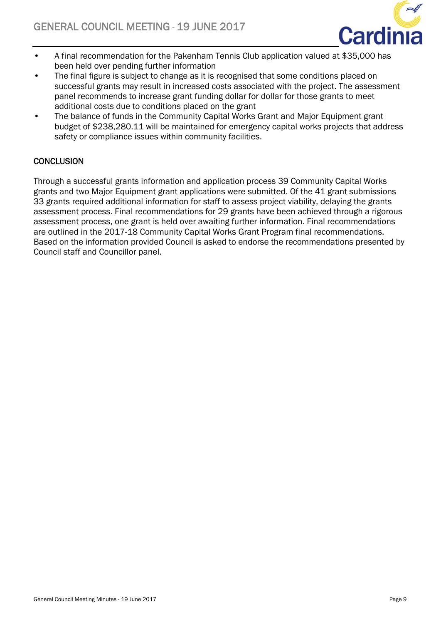

- A final recommendation for the Pakenham Tennis Club application valued at \$35,000 has been held over pending further information
- The final figure is subject to change as it is recognised that some conditions placed on successful grants may result in increased costs associated with the project. The assessment panel recommends to increase grant funding dollar for dollar for those grants to meet additional costs due to conditions placed on the grant
- The balance of funds in the Community Capital Works Grant and Major Equipment grant budget of \$238,280.11 will be maintained for emergency capital works projects that address safety or compliance issues within community facilities.

### **CONCLUSION**

Through a successful grants information and application process 39 Community Capital Works grants and two Major Equipment grant applications were submitted. Of the 41 grant submissions 33 grants required additional information for staff to assess project viability, delaying the grants assessment process. Final recommendations for 29 grants have been achieved through a rigorous assessment process, one grant is held over awaiting further information. Final recommendations are outlined in the 2017-18 Community Capital Works Grant Program final recommendations. Based on the information provided Council is asked to endorse the recommendations presented by Council staff and Councillor panel.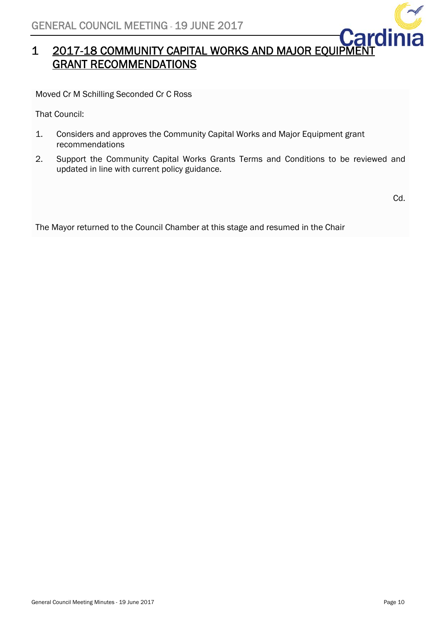

# 1 2017-18 COMMUNITY CAPITAL WORKS AND MAJOR EQUIPMENT GRANT RECOMMENDATIONS

Moved Cr M Schilling Seconded Cr C Ross

That Council:

- 1. Considers and approves the Community Capital Works and Major Equipment grant recommendations
- 2. Support the Community Capital Works Grants Terms and Conditions to be reviewed and updated in line with current policy guidance.

Cd.

The Mayor returned to the Council Chamber at this stage and resumed in the Chair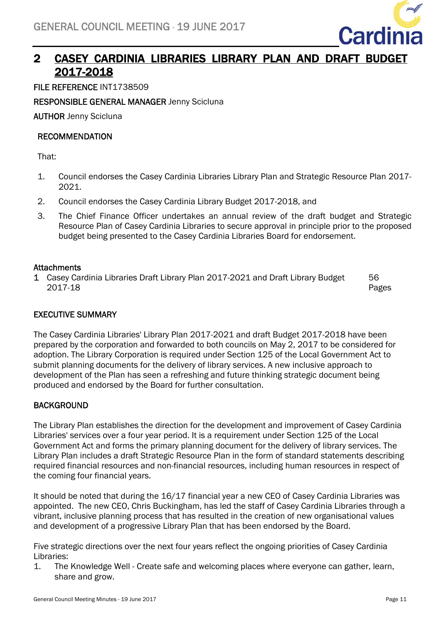

### 2 CASEY CARDINIA LIBRARIES LIBRARY PLAN AND DRAFT BUDGET 2017-2018

FILE REFERENCE INT1738509

RESPONSIBLE GENERAL MANAGER Jenny Scicluna

AUTHOR Jenny Scicluna

### RECOMMENDATION

That:

- 1. Council endorses the Casey Cardinia Libraries Library Plan and Strategic Resource Plan 2017- 2021.
- 2. Council endorses the Casey Cardinia Library Budget 2017-2018, and
- 3. The Chief Finance Officer undertakes an annual review of the draft budget and Strategic Resource Plan of Casey Cardinia Libraries to secure approval in principle prior to the proposed budget being presented to the Casey Cardinia Libraries Board for endorsement.

### **Attachments**

1 Casey Cardinia Libraries Draft Library Plan 2017-2021 and Draft Library Budget 2017-18 56 Pages

### EXECUTIVE SUMMARY

The Casey Cardinia Libraries' Library Plan 2017-2021 and draft Budget 2017-2018 have been prepared by the corporation and forwarded to both councils on May 2, 2017 to be considered for adoption. The Library Corporation is required under Section 125 of the Local Government Act to submit planning documents for the delivery of library services. A new inclusive approach to development of the Plan has seen a refreshing and future thinking strategic document being produced and endorsed by the Board for further consultation.

### **BACKGROUND**

The Library Plan establishes the direction for the development and improvement of Casey Cardinia Libraries' services over a four year period. It is a requirement under Section 125 of the Local Government Act and forms the primary planning document for the delivery of library services. The Library Plan includes a draft Strategic Resource Plan in the form of standard statements describing required financial resources and non-financial resources, including human resources in respect of the coming four financial years.

It should be noted that during the 16/17 financial year a new CEO of Casey Cardinia Libraries was appointed. The new CEO, Chris Buckingham, has led the staff of Casey Cardinia Libraries through a vibrant, inclusive planning process that has resulted in the creation of new organisational values and development of a progressive Library Plan that has been endorsed by the Board.

Five strategic directions over the next four years reflect the ongoing priorities of Casey Cardinia Libraries:

1. The Knowledge Well - Create safe and welcoming places where everyone can gather, learn, share and grow.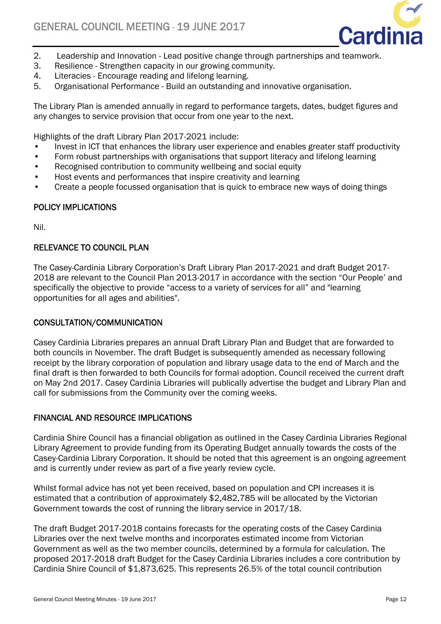

- 2. Leadership and Innovation Lead positive change through partnerships and teamwork.
- 3. Resilience Strengthen capacity in our growing community.
- 4. Literacies Encourage reading and lifelong learning.
- 5. Organisational Performance Build an outstanding and innovative organisation.

The Library Plan is amended annually in regard to performance targets, dates, budget figures and any changes to service provision that occur from one year to the next.

Highlights of the draft Library Plan 2017-2021 include:

- Invest in ICT that enhances the library user experience and enables greater staff productivity
- Form robust partnerships with organisations that support literacy and lifelong learning
- Recognised contribution to community wellbeing and social equity
- Host events and performances that inspire creativity and learning
- Create a people focussed organisation that is quick to embrace new ways of doing things

### POLICY IMPLICATIONS

Nil.

### RELEVANCE TO COUNCIL PLAN

The Casey-Cardinia Library Corporation's Draft Library Plan 2017-2021 and draft Budget 2017- 2018 are relevant to the Council Plan 2013-2017 in accordance with the section "Our People' and specifically the objective to provide "access to a variety of services for all" and "learning opportunities for all ages and abilities".

### CONSULTATION/COMMUNICATION

Casey Cardinia Libraries prepares an annual Draft Library Plan and Budget that are forwarded to both councils in November. The draft Budget is subsequently amended as necessary following receipt by the library corporation of population and library usage data to the end of March and the final draft is then forwarded to both Councils for formal adoption. Council received the current draft on May 2nd 2017. Casey Cardinia Libraries will publically advertise the budget and Library Plan and call for submissions from the Community over the coming weeks.

### FINANCIAL AND RESOURCE IMPLICATIONS

Cardinia Shire Council has a financial obligation as outlined in the Casey Cardinia Libraries Regional Library Agreement to provide funding from its Operating Budget annually towards the costs of the Casey-Cardinia Library Corporation. It should be noted that this agreement is an ongoing agreement and is currently under review as part of a five yearly review cycle.

Whilst formal advice has not yet been received, based on population and CPI increases it is estimated that a contribution of approximately \$2,482,785 will be allocated by the Victorian Government towards the cost of running the library service in 2017/18.

The draft Budget 2017-2018 contains forecasts for the operating costs of the Casey Cardinia Libraries over the next twelve months and incorporates estimated income from Victorian Government as well as the two member councils, determined by a formula for calculation. The proposed 2017-2018 draft Budget for the Casey Cardinia Libraries includes a core contribution by Cardinia Shire Council of \$1,873,625. This represents 26.5% of the total council contribution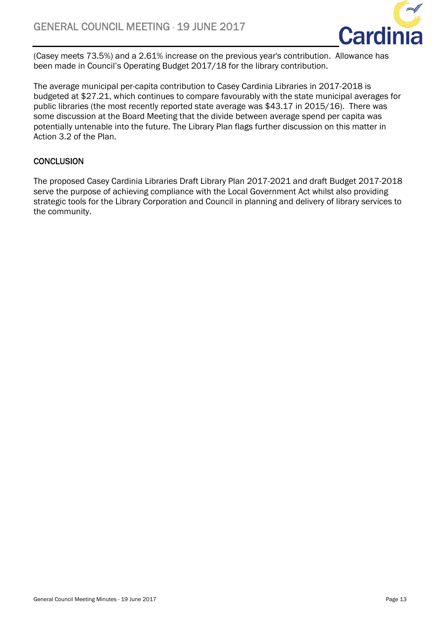

(Casey meets 73.5%) and a 2.61% increase on the previous year's contribution. Allowance has been made in Council's Operating Budget 2017/18 for the library contribution.

The average municipal per-capita contribution to Casey Cardinia Libraries in 2017-2018 is budgeted at \$27.21, which continues to compare favourably with the state municipal averages for public libraries (the most recently reported state average was \$43.17 in 2015/16). There was some discussion at the Board Meeting that the divide between average spend per capita was potentially untenable into the future. The Library Plan flags further discussion on this matter in Action 3.2 of the Plan.

### **CONCLUSION**

The proposed Casey Cardinia Libraries Draft Library Plan 2017-2021 and draft Budget 2017-2018 serve the purpose of achieving compliance with the Local Government Act whilst also providing strategic tools for the Library Corporation and Council in planning and delivery of library services to the community.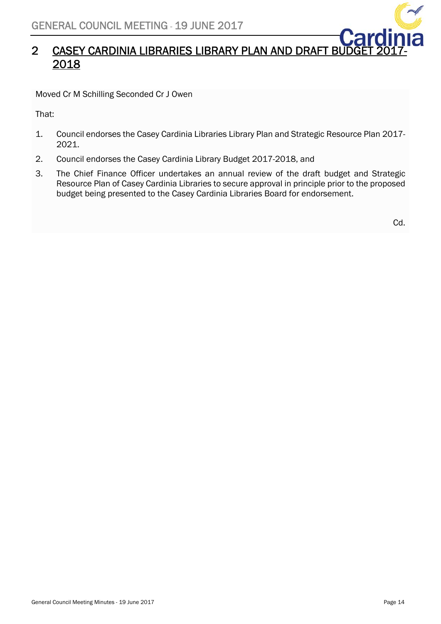

### 2 CASEY CARDINIA LIBRARIES LIBRARY PLAN AND DRAFT BU 2018

Moved Cr M Schilling Seconded Cr J Owen

That:

- 1. Council endorses the Casey Cardinia Libraries Library Plan and Strategic Resource Plan 2017- 2021.
- 2. Council endorses the Casey Cardinia Library Budget 2017-2018, and
- 3. The Chief Finance Officer undertakes an annual review of the draft budget and Strategic Resource Plan of Casey Cardinia Libraries to secure approval in principle prior to the proposed budget being presented to the Casey Cardinia Libraries Board for endorsement.

Cd.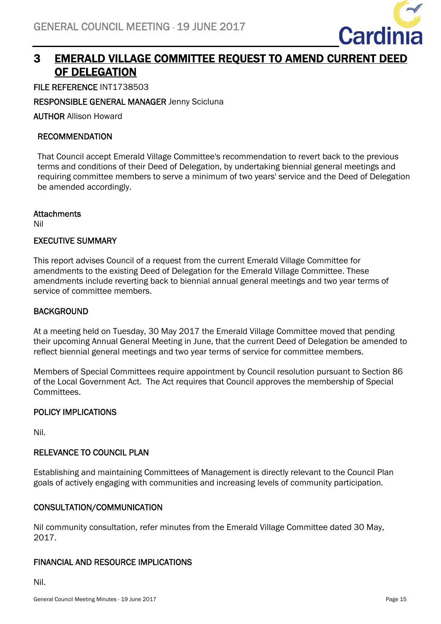

### 3 EMERALD VILLAGE COMMITTEE REQUEST TO AMEND CURRENT DEED OF DELEGATION

FILE REFERENCE INT1738503

RESPONSIBLE GENERAL MANAGER Jenny Scicluna

AUTHOR Allison Howard

### RECOMMENDATION

That Council accept Emerald Village Committee's recommendation to revert back to the previous terms and conditions of their Deed of Delegation, by undertaking biennial general meetings and requiring committee members to serve a minimum of two years' service and the Deed of Delegation be amended accordingly.

### **Attachments**

Nil

### EXECUTIVE SUMMARY

This report advises Council of a request from the current Emerald Village Committee for amendments to the existing Deed of Delegation for the Emerald Village Committee. These amendments include reverting back to biennial annual general meetings and two year terms of service of committee members.

### **BACKGROUND**

At a meeting held on Tuesday, 30 May 2017 the Emerald Village Committee moved that pending their upcoming Annual General Meeting in June, that the current Deed of Delegation be amended to reflect biennial general meetings and two year terms of service for committee members.

Members of Special Committees require appointment by Council resolution pursuant to Section 86 of the Local Government Act. The Act requires that Council approves the membership of Special Committees.

### POLICY IMPLICATIONS

Nil.

### RELEVANCE TO COUNCIL PLAN

Establishing and maintaining Committees of Management is directly relevant to the Council Plan goals of actively engaging with communities and increasing levels of community participation.

### CONSULTATION/COMMUNICATION

Nil community consultation, refer minutes from the Emerald Village Committee dated 30 May, 2017.

### FINANCIAL AND RESOURCE IMPLICATIONS

Nil.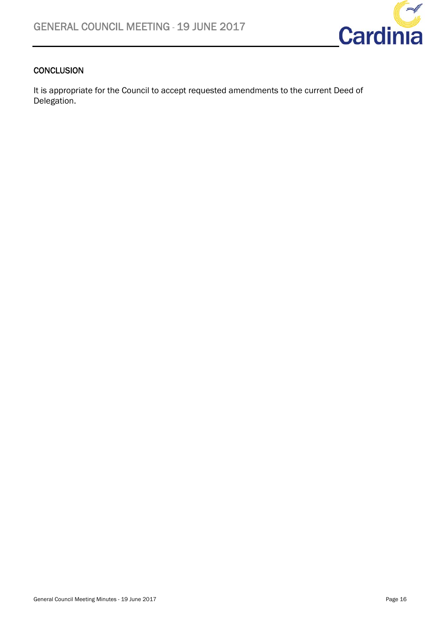

### **CONCLUSION**

It is appropriate for the Council to accept requested amendments to the current Deed of Delegation.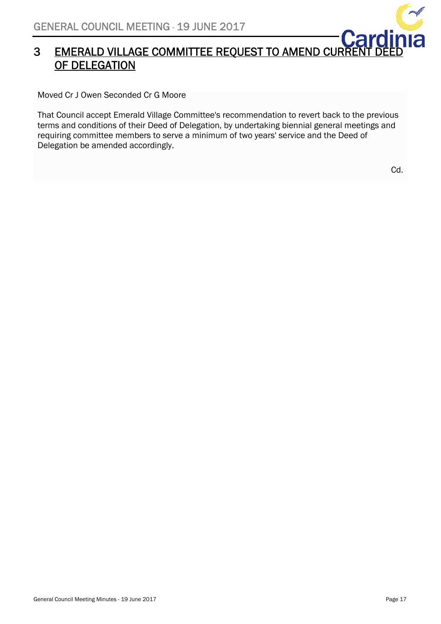

# **EMERALD VILLAGE COMMITTEE REQUEST TO AMEND CURRENT DEED** OF DELEGATION

Moved Cr J Owen Seconded Cr G Moore

That Council accept Emerald Village Committee's recommendation to revert back to the previous terms and conditions of their Deed of Delegation, by undertaking biennial general meetings and requiring committee members to serve a minimum of two years' service and the Deed of Delegation be amended accordingly.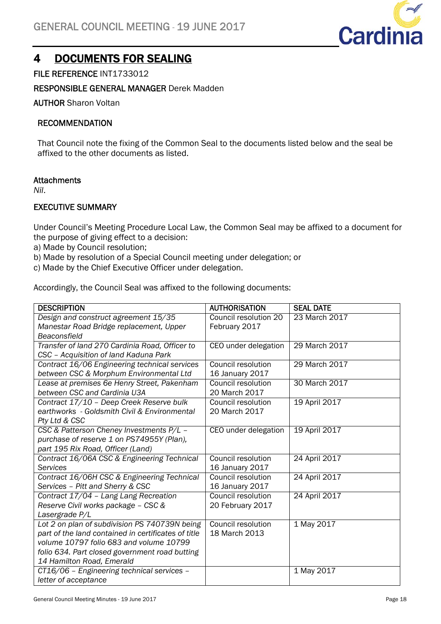

### 4 DOCUMENTS FOR SEALING

FILE REFERENCE INT1733012

### RESPONSIBLE GENERAL MANAGER Derek Madden

AUTHOR Sharon Voltan

### RECOMMENDATION

That Council note the fixing of the Common Seal to the documents listed below and the seal be affixed to the other documents as listed.

### **Attachments**

*Nil*.

### EXECUTIVE SUMMARY

Under Council's Meeting Procedure Local Law, the Common Seal may be affixed to a document for the purpose of giving effect to a decision:

- a) Made by Council resolution;
- b) Made by resolution of a Special Council meeting under delegation; or
- c) Made by the Chief Executive Officer under delegation.

Accordingly, the Council Seal was affixed to the following documents:

| <b>DESCRIPTION</b>                                  | <b>AUTHORISATION</b>  | <b>SEAL DATE</b> |
|-----------------------------------------------------|-----------------------|------------------|
| Design and construct agreement 15/35                | Council resolution 20 | 23 March 2017    |
| Manestar Road Bridge replacement, Upper             | February 2017         |                  |
| Beaconsfield                                        |                       |                  |
| Transfer of land 270 Cardinia Road, Officer to      | CEO under delegation  | 29 March 2017    |
| CSC - Acquisition of land Kaduna Park               |                       |                  |
| Contract 16/06 Engineering technical services       | Council resolution    | 29 March 2017    |
| between CSC & Morphum Environmental Ltd             | 16 January 2017       |                  |
| Lease at premises 6e Henry Street, Pakenham         | Council resolution    | 30 March 2017    |
| between CSC and Cardinia U3A                        | 20 March 2017         |                  |
| Contract 17/10 - Deep Creek Reserve bulk            | Council resolution    | 19 April 2017    |
| earthworks - Goldsmith Civil & Environmental        | 20 March 2017         |                  |
| Pty Ltd & CSC                                       |                       |                  |
| CSC & Patterson Cheney Investments P/L -            | CEO under delegation  | 19 April 2017    |
| purchase of reserve 1 on PS74955Y (Plan),           |                       |                  |
| part 195 Rix Road, Officer (Land)                   |                       |                  |
| Contract 16/06A CSC & Engineering Technical         | Council resolution    | 24 April 2017    |
| <b>Services</b>                                     | 16 January 2017       |                  |
| Contract 16/06H CSC & Engineering Technical         | Council resolution    | 24 April 2017    |
| Services - Pitt and Sherry & CSC                    | 16 January 2017       |                  |
| Contract 17/04 - Lang Lang Recreation               | Council resolution    | 24 April 2017    |
| Reserve Civil works package - CSC &                 | 20 February 2017      |                  |
| Lasergrade P/L                                      |                       |                  |
| Lot 2 on plan of subdivision PS 740739N being       | Council resolution    | 1 May 2017       |
| part of the land contained in certificates of title | 18 March 2013         |                  |
| volume 10797 folio 683 and volume 10799             |                       |                  |
| folio 634. Part closed government road butting      |                       |                  |
| 14 Hamilton Road, Emerald                           |                       |                  |
| CT16/06 - Engineering technical services -          |                       | 1 May 2017       |
| letter of acceptance                                |                       |                  |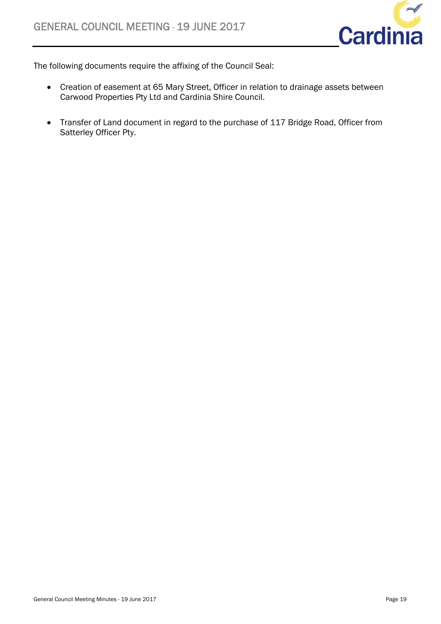

The following documents require the affixing of the Council Seal:

- Creation of easement at 65 Mary Street, Officer in relation to drainage assets between Carwood Properties Pty Ltd and Cardinia Shire Council.
- Transfer of Land document in regard to the purchase of 117 Bridge Road, Officer from Satterley Officer Pty.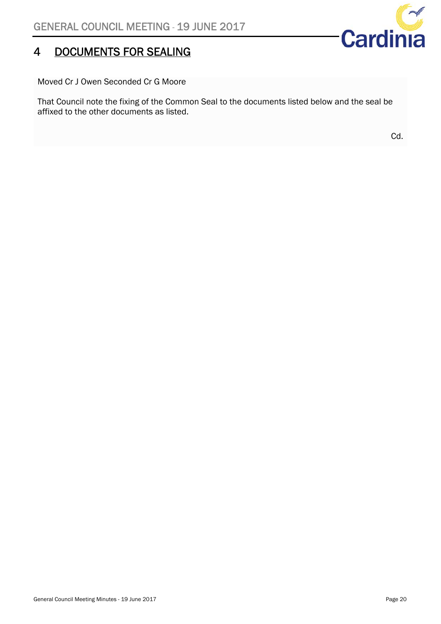# 4 DOCUMENTS FOR SEALING

 $\Rightarrow$ Cardinia

Moved Cr J Owen Seconded Cr G Moore

That Council note the fixing of the Common Seal to the documents listed below and the seal be affixed to the other documents as listed.

Cd.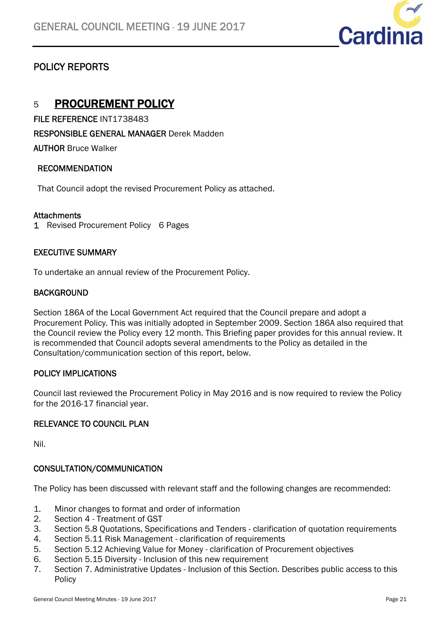

### POLICY REPORTS

### 5 PROCUREMENT POLICY

FILE REFERENCE INT1738483

RESPONSIBLE GENERAL MANAGER Derek Madden

AUTHOR Bruce Walker

### RECOMMENDATION

That Council adopt the revised Procurement Policy as attached.

### **Attachments**

1 Revised Procurement Policy 6 Pages

### EXECUTIVE SUMMARY

To undertake an annual review of the Procurement Policy.

### **BACKGROUND**

Section 186A of the Local Government Act required that the Council prepare and adopt a Procurement Policy. This was initially adopted in September 2009. Section 186A also required that the Council review the Policy every 12 month. This Briefing paper provides for this annual review. It is recommended that Council adopts several amendments to the Policy as detailed in the Consultation/communication section of this report, below.

### POLICY IMPLICATIONS

Council last reviewed the Procurement Policy in May 2016 and is now required to review the Policy for the 2016-17 financial year.

### RELEVANCE TO COUNCIL PLAN

Nil.

### CONSULTATION/COMMUNICATION

The Policy has been discussed with relevant staff and the following changes are recommended:

- 1. Minor changes to format and order of information
- 2. Section 4 Treatment of GST
- 3. Section 5.8 Quotations, Specifications and Tenders clarification of quotation requirements
- 4. Section 5.11 Risk Management clarification of requirements
- 5. Section 5.12 Achieving Value for Money clarification of Procurement objectives
- 6. Section 5.15 Diversity Inclusion of this new requirement
- 7. Section 7. Administrative Updates Inclusion of this Section. Describes public access to this Policy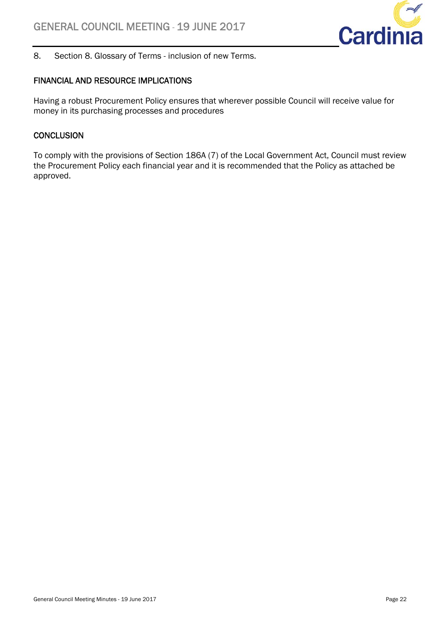

8. Section 8. Glossary of Terms - inclusion of new Terms.

### FINANCIAL AND RESOURCE IMPLICATIONS

Having a robust Procurement Policy ensures that wherever possible Council will receive value for money in its purchasing processes and procedures

### **CONCLUSION**

To comply with the provisions of Section 186A (7) of the Local Government Act, Council must review the Procurement Policy each financial year and it is recommended that the Policy as attached be approved.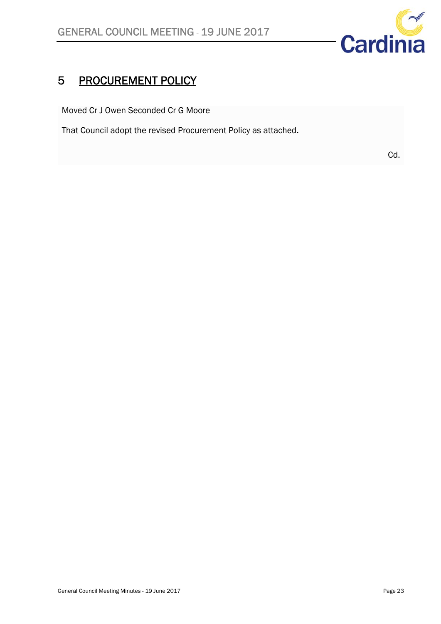

# 5 PROCUREMENT POLICY

Moved Cr J Owen Seconded Cr G Moore

That Council adopt the revised Procurement Policy as attached.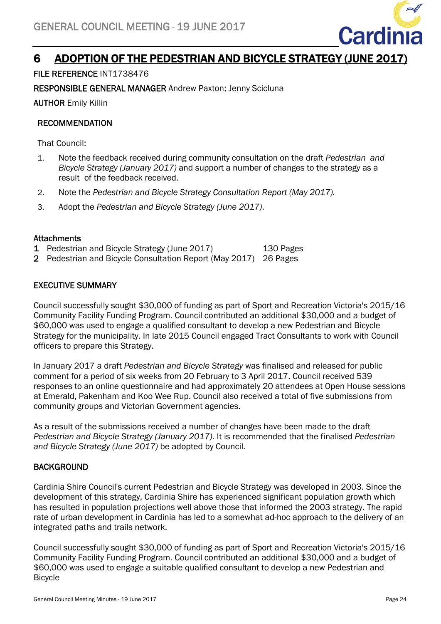

### 6 ADOPTION OF THE PEDESTRIAN AND BICYCLE STRATEGY (JUNE 2017)

FILE REFERENCE INT1738476

RESPONSIBLE GENERAL MANAGER Andrew Paxton; Jenny Scicluna

AUTHOR Emily Killin

### RECOMMENDATION

That Council:

- 1. Note the feedback received during community consultation on the draft *Pedestrian and Bicycle Strategy (January 2017)* and support a number of changes to the strategy as a result of the feedback received.
- 2. Note the *Pedestrian and Bicycle Strategy Consultation Report (May 2017).*
- 3. Adopt the *Pedestrian and Bicycle Strategy (June 2017)*.

### **Attachments**

- 1 Pedestrian and Bicycle Strategy (June 2017) 130 Pages
- 2 Pedestrian and Bicycle Consultation Report (May 2017) 26 Pages

### EXECUTIVE SUMMARY

Council successfully sought \$30,000 of funding as part of Sport and Recreation Victoria's 2015/16 Community Facility Funding Program. Council contributed an additional \$30,000 and a budget of \$60,000 was used to engage a qualified consultant to develop a new Pedestrian and Bicycle Strategy for the municipality. In late 2015 Council engaged Tract Consultants to work with Council officers to prepare this Strategy.

In January 2017 a draft *Pedestrian and Bicycle Strategy* was finalised and released for public comment for a period of six weeks from 20 February to 3 April 2017. Council received 539 responses to an online questionnaire and had approximately 20 attendees at Open House sessions at Emerald, Pakenham and Koo Wee Rup. Council also received a total of five submissions from community groups and Victorian Government agencies.

As a result of the submissions received a number of changes have been made to the draft *Pedestrian and Bicycle Strategy (January 2017)*. It is recommended that the finalised *Pedestrian and Bicycle Strategy (June 2017)* be adopted by Council.

### **BACKGROUND**

Cardinia Shire Council's current Pedestrian and Bicycle Strategy was developed in 2003. Since the development of this strategy, Cardinia Shire has experienced significant population growth which has resulted in population projections well above those that informed the 2003 strategy. The rapid rate of urban development in Cardinia has led to a somewhat ad-hoc approach to the delivery of an integrated paths and trails network.

Council successfully sought \$30,000 of funding as part of Sport and Recreation Victoria's 2015/16 Community Facility Funding Program. Council contributed an additional \$30,000 and a budget of \$60,000 was used to engage a suitable qualified consultant to develop a new Pedestrian and Bicycle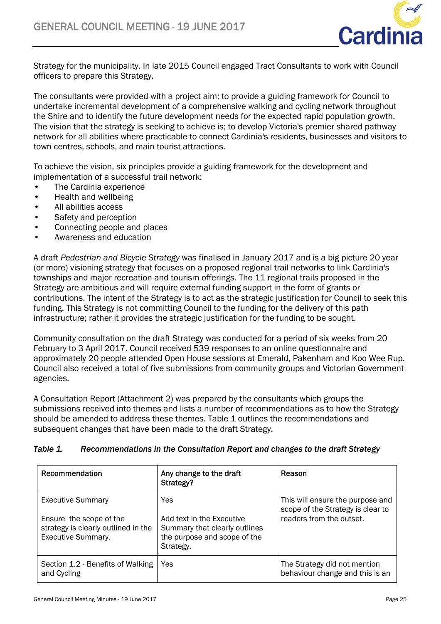

Strategy for the municipality. In late 2015 Council engaged Tract Consultants to work with Council officers to prepare this Strategy.

The consultants were provided with a project aim; to provide a guiding framework for Council to undertake incremental development of a comprehensive walking and cycling network throughout the Shire and to identify the future development needs for the expected rapid population growth. The vision that the strategy is seeking to achieve is; to develop Victoria's premier shared pathway network for all abilities where practicable to connect Cardinia's residents, businesses and visitors to town centres, schools, and main tourist attractions.

To achieve the vision, six principles provide a guiding framework for the development and implementation of a successful trail network:

- The Cardinia experience
- Health and wellbeing
- All abilities access
- Safety and perception
- Connecting people and places
- Awareness and education

A draft *Pedestrian and Bicycle Strategy* was finalised in January 2017 and is a big picture 20 year (or more) visioning strategy that focuses on a proposed regional trail networks to link Cardinia's townships and major recreation and tourism offerings. The 11 regional trails proposed in the Strategy are ambitious and will require external funding support in the form of grants or contributions. The intent of the Strategy is to act as the strategic justification for Council to seek this funding. This Strategy is not committing Council to the funding for the delivery of this path infrastructure; rather it provides the strategic justification for the funding to be sought.

Community consultation on the draft Strategy was conducted for a period of six weeks from 20 February to 3 April 2017. Council received 539 responses to an online questionnaire and approximately 20 people attended Open House sessions at Emerald, Pakenham and Koo Wee Rup. Council also received a total of five submissions from community groups and Victorian Government agencies.

A Consultation Report (Attachment 2) was prepared by the consultants which groups the submissions received into themes and lists a number of recommendations as to how the Strategy should be amended to address these themes. Table 1 outlines the recommendations and subsequent changes that have been made to the draft Strategy.

| Recommendation                                                                                                          | Any change to the draft<br>Strategy?                                                                           | Reason                                                                                            |
|-------------------------------------------------------------------------------------------------------------------------|----------------------------------------------------------------------------------------------------------------|---------------------------------------------------------------------------------------------------|
| <b>Executive Summary</b><br>Ensure the scope of the<br>strategy is clearly outlined in the<br><b>Executive Summary.</b> | Yes<br>Add text in the Executive<br>Summary that clearly outlines<br>the purpose and scope of the<br>Strategy. | This will ensure the purpose and<br>scope of the Strategy is clear to<br>readers from the outset. |
| Section 1.2 - Benefits of Walking<br>and Cycling                                                                        | Yes                                                                                                            | The Strategy did not mention<br>behaviour change and this is an                                   |

### *Table 1. Recommendations in the Consultation Report and changes to the draft Strategy*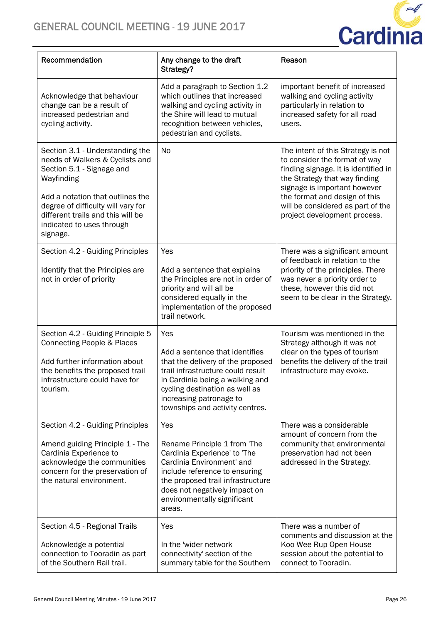

| Recommendation                                                                                                                                                                                                                                                        | Any change to the draft<br>Strategy?                                                                                                                                                                                                               | Reason                                                                                                                                                                                                                                                                             |
|-----------------------------------------------------------------------------------------------------------------------------------------------------------------------------------------------------------------------------------------------------------------------|----------------------------------------------------------------------------------------------------------------------------------------------------------------------------------------------------------------------------------------------------|------------------------------------------------------------------------------------------------------------------------------------------------------------------------------------------------------------------------------------------------------------------------------------|
| Acknowledge that behaviour<br>change can be a result of<br>increased pedestrian and<br>cycling activity.                                                                                                                                                              | Add a paragraph to Section 1.2<br>which outlines that increased<br>walking and cycling activity in<br>the Shire will lead to mutual<br>recognition between vehicles,<br>pedestrian and cyclists.                                                   | important benefit of increased<br>walking and cycling activity<br>particularly in relation to<br>increased safety for all road<br>users.                                                                                                                                           |
| Section 3.1 - Understanding the<br>needs of Walkers & Cyclists and<br>Section 5.1 - Signage and<br>Wayfinding<br>Add a notation that outlines the<br>degree of difficulty will vary for<br>different trails and this will be<br>indicated to uses through<br>signage. | <b>No</b>                                                                                                                                                                                                                                          | The intent of this Strategy is not<br>to consider the format of way<br>finding signage. It is identified in<br>the Strategy that way finding<br>signage is important however<br>the format and design of this<br>will be considered as part of the<br>project development process. |
| Section 4.2 - Guiding Principles<br>Identify that the Principles are<br>not in order of priority                                                                                                                                                                      | Yes<br>Add a sentence that explains<br>the Principles are not in order of<br>priority and will all be<br>considered equally in the<br>implementation of the proposed<br>trail network.                                                             | There was a significant amount<br>of feedback in relation to the<br>priority of the principles. There<br>was never a priority order to<br>these, however this did not<br>seem to be clear in the Strategy.                                                                         |
| Section 4.2 - Guiding Principle 5<br>Connecting People & Places<br>Add further information about<br>the benefits the proposed trail<br>infrastructure could have for<br>tourism.                                                                                      | Yes<br>Add a sentence that identifies<br>that the delivery of the proposed<br>trail infrastructure could result<br>in Cardinia being a walking and<br>cycling destination as well as<br>increasing patronage to<br>townships and activity centres. | Tourism was mentioned in the<br>Strategy although it was not<br>clear on the types of tourism<br>benefits the delivery of the trail<br>infrastructure may evoke.                                                                                                                   |
| Section 4.2 - Guiding Principles<br>Amend guiding Principle 1 - The<br>Cardinia Experience to<br>acknowledge the communities<br>concern for the preservation of<br>the natural environment.                                                                           | Yes<br>Rename Principle 1 from 'The<br>Cardinia Experience' to 'The<br>Cardinia Environment' and<br>include reference to ensuring<br>the proposed trail infrastructure<br>does not negatively impact on<br>environmentally significant<br>areas.   | There was a considerable<br>amount of concern from the<br>community that environmental<br>preservation had not been<br>addressed in the Strategy.                                                                                                                                  |
| Section 4.5 - Regional Trails<br>Acknowledge a potential<br>connection to Tooradin as part<br>of the Southern Rail trail.                                                                                                                                             | Yes<br>In the 'wider network<br>connectivity' section of the<br>summary table for the Southern                                                                                                                                                     | There was a number of<br>comments and discussion at the<br>Koo Wee Rup Open House<br>session about the potential to<br>connect to Tooradin.                                                                                                                                        |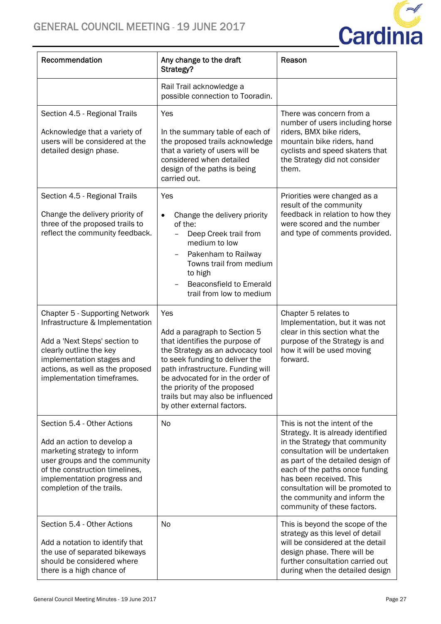

| Recommendation                                                                                                                                                                                                               | Any change to the draft<br>Strategy?                                                                                                                                                                                                                                                                                    | Reason                                                                                                                                                                                                                                                                                                                                        |
|------------------------------------------------------------------------------------------------------------------------------------------------------------------------------------------------------------------------------|-------------------------------------------------------------------------------------------------------------------------------------------------------------------------------------------------------------------------------------------------------------------------------------------------------------------------|-----------------------------------------------------------------------------------------------------------------------------------------------------------------------------------------------------------------------------------------------------------------------------------------------------------------------------------------------|
|                                                                                                                                                                                                                              | Rail Trail acknowledge a<br>possible connection to Tooradin.                                                                                                                                                                                                                                                            |                                                                                                                                                                                                                                                                                                                                               |
| Section 4.5 - Regional Trails<br>Acknowledge that a variety of<br>users will be considered at the<br>detailed design phase.                                                                                                  | Yes<br>In the summary table of each of<br>the proposed trails acknowledge<br>that a variety of users will be<br>considered when detailed<br>design of the paths is being<br>carried out.                                                                                                                                | There was concern from a<br>number of users including horse<br>riders, BMX bike riders,<br>mountain bike riders, hand<br>cyclists and speed skaters that<br>the Strategy did not consider<br>them.                                                                                                                                            |
| Section 4.5 - Regional Trails<br>Change the delivery priority of<br>three of the proposed trails to<br>reflect the community feedback.                                                                                       | Yes<br>Change the delivery priority<br>$\bullet$<br>of the:<br>Deep Creek trail from<br>$\overline{\phantom{0}}$<br>medium to low<br>Pakenham to Railway<br>Towns trail from medium<br>to high<br><b>Beaconsfield to Emerald</b><br>trail from low to medium                                                            | Priorities were changed as a<br>result of the community<br>feedback in relation to how they<br>were scored and the number<br>and type of comments provided.                                                                                                                                                                                   |
| Chapter 5 - Supporting Network<br>Infrastructure & Implementation<br>Add a 'Next Steps' section to<br>clearly outline the key<br>implementation stages and<br>actions, as well as the proposed<br>implementation timeframes. | Yes<br>Add a paragraph to Section 5<br>that identifies the purpose of<br>the Strategy as an advocacy tool<br>to seek funding to deliver the<br>path infrastructure. Funding will<br>be advocated for in the order of<br>the priority of the proposed<br>trails but may also be influenced<br>by other external factors. | Chapter 5 relates to<br>Implementation, but it was not<br>clear in this section what the<br>purpose of the Strategy is and<br>how it will be used moving<br>forward.                                                                                                                                                                          |
| Section 5.4 - Other Actions<br>Add an action to develop a<br>marketing strategy to inform<br>user groups and the community<br>of the construction timelines,<br>implementation progress and<br>completion of the trails.     | <b>No</b>                                                                                                                                                                                                                                                                                                               | This is not the intent of the<br>Strategy. It is already identified<br>in the Strategy that community<br>consultation will be undertaken<br>as part of the detailed design of<br>each of the paths once funding<br>has been received. This<br>consultation will be promoted to<br>the community and inform the<br>community of these factors. |
| Section 5.4 - Other Actions<br>Add a notation to identify that<br>the use of separated bikeways<br>should be considered where<br>there is a high chance of                                                                   | No                                                                                                                                                                                                                                                                                                                      | This is beyond the scope of the<br>strategy as this level of detail<br>will be considered at the detail<br>design phase. There will be<br>further consultation carried out<br>during when the detailed design                                                                                                                                 |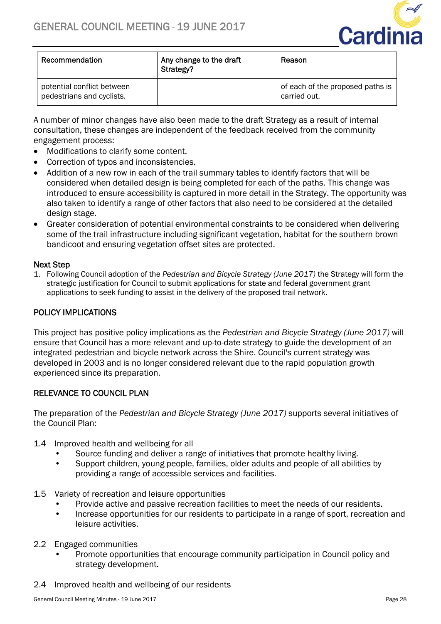

| Recommendation                                          | Any change to the draft<br>Strategy? | Reason                                           |
|---------------------------------------------------------|--------------------------------------|--------------------------------------------------|
| potential conflict between<br>pedestrians and cyclists. |                                      | of each of the proposed paths is<br>carried out. |

A number of minor changes have also been made to the draft Strategy as a result of internal consultation, these changes are independent of the feedback received from the community engagement process:

- Modifications to clarify some content.
- Correction of typos and inconsistencies.
- Addition of a new row in each of the trail summary tables to identify factors that will be considered when detailed design is being completed for each of the paths. This change was introduced to ensure accessibility is captured in more detail in the Strategy. The opportunity was also taken to identify a range of other factors that also need to be considered at the detailed design stage.
- Greater consideration of potential environmental constraints to be considered when delivering some of the trail infrastructure including significant vegetation, habitat for the southern brown bandicoot and ensuring vegetation offset sites are protected.

### Next Step

1. Following Council adoption of the *Pedestrian and Bicycle Strategy (June 2017)* the Strategy will form the strategic justification for Council to submit applications for state and federal government grant applications to seek funding to assist in the delivery of the proposed trail network.

### POLICY IMPLICATIONS

This project has positive policy implications as the *Pedestrian and Bicycle Strategy (June 2017)* will ensure that Council has a more relevant and up-to-date strategy to guide the development of an integrated pedestrian and bicycle network across the Shire. Council's current strategy was developed in 2003 and is no longer considered relevant due to the rapid population growth experienced since its preparation.

### RELEVANCE TO COUNCIL PLAN

The preparation of the *Pedestrian and Bicycle Strategy (June 2017)* supports several initiatives of the Council Plan:

- 1.4 Improved health and wellbeing for all
	- Source funding and deliver a range of initiatives that promote healthy living.
	- Support children, young people, families, older adults and people of all abilities by providing a range of accessible services and facilities.
- 1.5 Variety of recreation and leisure opportunities
	- Provide active and passive recreation facilities to meet the needs of our residents.
	- Increase opportunities for our residents to participate in a range of sport, recreation and leisure activities.
- 2.2 Engaged communities
	- Promote opportunities that encourage community participation in Council policy and strategy development.
- 2.4 Improved health and wellbeing of our residents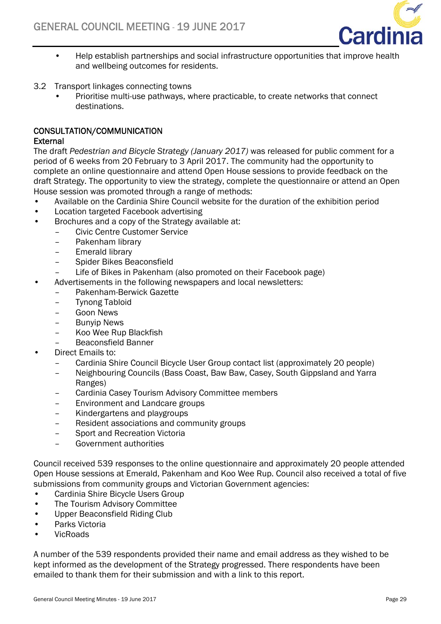

- Help establish partnerships and social infrastructure opportunities that improve health and wellbeing outcomes for residents.
- 3.2 Transport linkages connecting towns
	- Prioritise multi-use pathways, where practicable, to create networks that connect destinations.

### CONSULTATION/COMMUNICATION

### **External**

The draft *Pedestrian and Bicycle Strategy (January 2017)* was released for public comment for a period of 6 weeks from 20 February to 3 April 2017. The community had the opportunity to complete an online questionnaire and attend Open House sessions to provide feedback on the draft Strategy. The opportunity to view the strategy, complete the questionnaire or attend an Open House session was promoted through a range of methods:

- Available on the Cardinia Shire Council website for the duration of the exhibition period
- Location targeted Facebook advertising
- Brochures and a copy of the Strategy available at:
	- Civic Centre Customer Service
	- Pakenham library
	- Emerald library
	- Spider Bikes Beaconsfield
	- Life of Bikes in Pakenham (also promoted on their Facebook page)
	- Advertisements in the following newspapers and local newsletters:
		- Pakenham-Berwick Gazette
		- Tynong Tabloid
		- Goon News
		- Bunyip News
		- Koo Wee Rup Blackfish
		- Beaconsfield Banner
- Direct Emails to:
	- Cardinia Shire Council Bicycle User Group contact list (approximately 20 people)
	- Neighbouring Councils (Bass Coast, Baw Baw, Casey, South Gippsland and Yarra Ranges)
	- Cardinia Casey Tourism Advisory Committee members
	- Environment and Landcare groups
	- Kindergartens and playgroups
	- Resident associations and community groups
	- Sport and Recreation Victoria
	- Government authorities

Council received 539 responses to the online questionnaire and approximately 20 people attended Open House sessions at Emerald, Pakenham and Koo Wee Rup. Council also received a total of five submissions from community groups and Victorian Government agencies:

- Cardinia Shire Bicycle Users Group
- The Tourism Advisory Committee
- Upper Beaconsfield Riding Club
- Parks Victoria
- VicRoads

A number of the 539 respondents provided their name and email address as they wished to be kept informed as the development of the Strategy progressed. There respondents have been emailed to thank them for their submission and with a link to this report.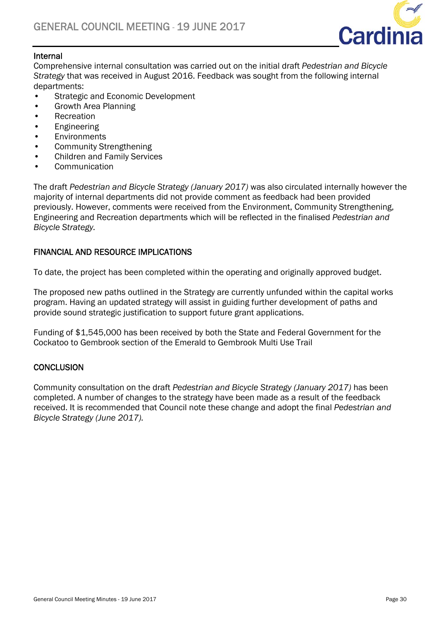

### Internal

Comprehensive internal consultation was carried out on the initial draft *Pedestrian and Bicycle Strategy* that was received in August 2016. Feedback was sought from the following internal departments:

- Strategic and Economic Development
- Growth Area Planning
- Recreation
- Engineering
- Environments
- Community Strengthening
- Children and Family Services
- **Communication**

The draft *Pedestrian and Bicycle Strategy (January 2017)* was also circulated internally however the majority of internal departments did not provide comment as feedback had been provided previously. However, comments were received from the Environment, Community Strengthening, Engineering and Recreation departments which will be reflected in the finalised *Pedestrian and Bicycle Strategy.* 

### FINANCIAL AND RESOURCE IMPLICATIONS

To date, the project has been completed within the operating and originally approved budget.

The proposed new paths outlined in the Strategy are currently unfunded within the capital works program. Having an updated strategy will assist in guiding further development of paths and provide sound strategic justification to support future grant applications.

Funding of \$1,545,000 has been received by both the State and Federal Government for the Cockatoo to Gembrook section of the Emerald to Gembrook Multi Use Trail

### **CONCLUSION**

Community consultation on the draft *Pedestrian and Bicycle Strategy (January 2017)* has been completed. A number of changes to the strategy have been made as a result of the feedback received. It is recommended that Council note these change and adopt the final *Pedestrian and Bicycle Strategy (June 2017).*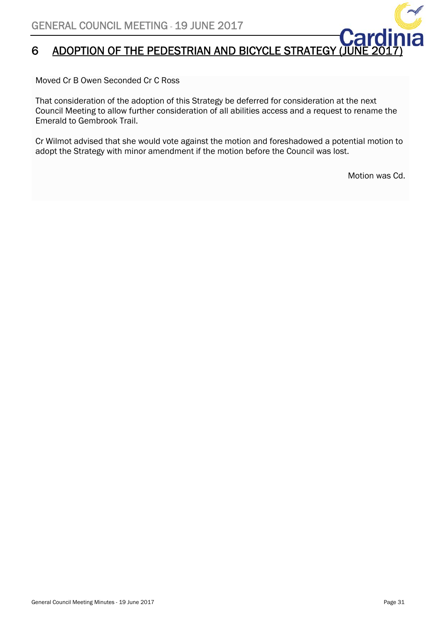# 6 ADOPTION OF THE PEDESTRIAN AND BICYCLE STRATEGY

Moved Cr B Owen Seconded Cr C Ross

That consideration of the adoption of this Strategy be deferred for consideration at the next Council Meeting to allow further consideration of all abilities access and a request to rename the Emerald to Gembrook Trail.

Cr Wilmot advised that she would vote against the motion and foreshadowed a potential motion to adopt the Strategy with minor amendment if the motion before the Council was lost.

Motion was Cd.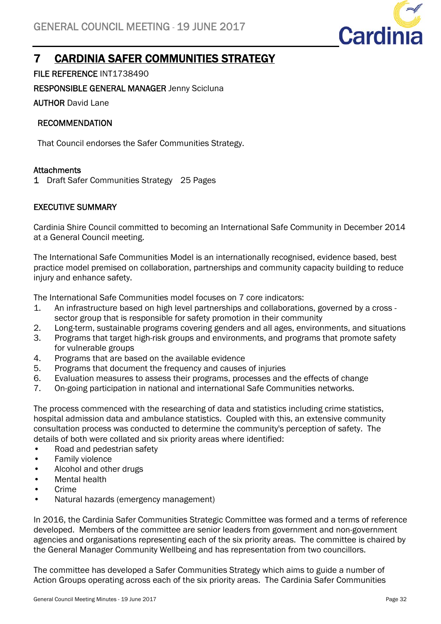

# 7 CARDINIA SAFER COMMUNITIES STRATEGY

FILE REFERENCE INT1738490

RESPONSIBLE GENERAL MANAGER Jenny Scicluna

AUTHOR David Lane

### RECOMMENDATION

That Council endorses the Safer Communities Strategy.

### **Attachments**

1 Draft Safer Communities Strategy 25 Pages

### EXECUTIVE SUMMARY

Cardinia Shire Council committed to becoming an International Safe Community in December 2014 at a General Council meeting.

The International Safe Communities Model is an internationally recognised, evidence based, best practice model premised on collaboration, partnerships and community capacity building to reduce injury and enhance safety.

The International Safe Communities model focuses on 7 core indicators:

- 1. An infrastructure based on high level partnerships and collaborations, governed by a cross sector group that is responsible for safety promotion in their community
- 2. Long-term, sustainable programs covering genders and all ages, environments, and situations
- 3. Programs that target high-risk groups and environments, and programs that promote safety for vulnerable groups
- 4. Programs that are based on the available evidence
- 5. Programs that document the frequency and causes of injuries
- 6. Evaluation measures to assess their programs, processes and the effects of change
- 7. On-going participation in national and international Safe Communities networks.

The process commenced with the researching of data and statistics including crime statistics, hospital admission data and ambulance statistics. Coupled with this, an extensive community consultation process was conducted to determine the community's perception of safety. The details of both were collated and six priority areas where identified:

- Road and pedestrian safety
- Family violence
- Alcohol and other drugs
- Mental health
- Crime
- Natural hazards (emergency management)

In 2016, the Cardinia Safer Communities Strategic Committee was formed and a terms of reference developed. Members of the committee are senior leaders from government and non-government agencies and organisations representing each of the six priority areas. The committee is chaired by the General Manager Community Wellbeing and has representation from two councillors.

The committee has developed a Safer Communities Strategy which aims to guide a number of Action Groups operating across each of the six priority areas. The Cardinia Safer Communities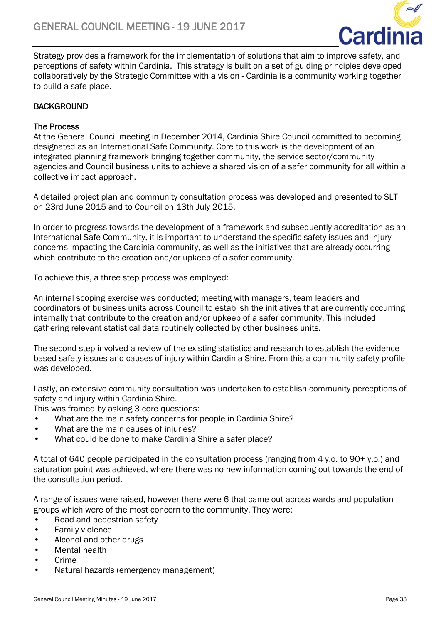

Strategy provides a framework for the implementation of solutions that aim to improve safety, and perceptions of safety within Cardinia. This strategy is built on a set of guiding principles developed collaboratively by the Strategic Committee with a vision - Cardinia is a community working together to build a safe place.

### **BACKGROUND**

### The Process

At the General Council meeting in December 2014, Cardinia Shire Council committed to becoming designated as an International Safe Community. Core to this work is the development of an integrated planning framework bringing together community, the service sector/community agencies and Council business units to achieve a shared vision of a safer community for all within a collective impact approach.

A detailed project plan and community consultation process was developed and presented to SLT on 23rd June 2015 and to Council on 13th July 2015.

In order to progress towards the development of a framework and subsequently accreditation as an International Safe Community, it is important to understand the specific safety issues and injury concerns impacting the Cardinia community, as well as the initiatives that are already occurring which contribute to the creation and/or upkeep of a safer community.

To achieve this, a three step process was employed:

An internal scoping exercise was conducted; meeting with managers, team leaders and coordinators of business units across Council to establish the initiatives that are currently occurring internally that contribute to the creation and/or upkeep of a safer community. This included gathering relevant statistical data routinely collected by other business units.

The second step involved a review of the existing statistics and research to establish the evidence based safety issues and causes of injury within Cardinia Shire. From this a community safety profile was developed.

Lastly, an extensive community consultation was undertaken to establish community perceptions of safety and injury within Cardinia Shire.

This was framed by asking 3 core questions:

- What are the main safety concerns for people in Cardinia Shire?
- What are the main causes of injuries?
- What could be done to make Cardinia Shire a safer place?

A total of 640 people participated in the consultation process (ranging from 4 y.o. to 90+ y.o.) and saturation point was achieved, where there was no new information coming out towards the end of the consultation period.

A range of issues were raised, however there were 6 that came out across wards and population groups which were of the most concern to the community. They were:

- Road and pedestrian safety
- Family violence
- Alcohol and other drugs
- Mental health
- Crime
- Natural hazards (emergency management)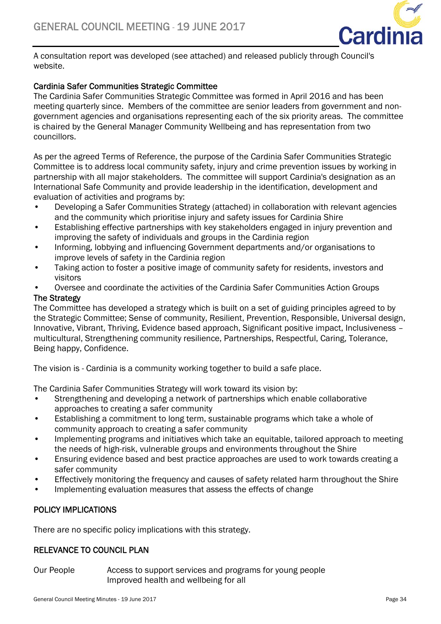

A consultation report was developed (see attached) and released publicly through Council's website.

### Cardinia Safer Communities Strategic Committee

The Cardinia Safer Communities Strategic Committee was formed in April 2016 and has been meeting quarterly since. Members of the committee are senior leaders from government and nongovernment agencies and organisations representing each of the six priority areas. The committee is chaired by the General Manager Community Wellbeing and has representation from two councillors.

As per the agreed Terms of Reference, the purpose of the Cardinia Safer Communities Strategic Committee is to address local community safety, injury and crime prevention issues by working in partnership with all major stakeholders. The committee will support Cardinia's designation as an International Safe Community and provide leadership in the identification, development and evaluation of activities and programs by:

- Developing a Safer Communities Strategy (attached) in collaboration with relevant agencies and the community which prioritise injury and safety issues for Cardinia Shire
- Establishing effective partnerships with key stakeholders engaged in injury prevention and improving the safety of individuals and groups in the Cardinia region
- Informing, lobbying and influencing Government departments and/or organisations to improve levels of safety in the Cardinia region
- Taking action to foster a positive image of community safety for residents, investors and visitors
- Oversee and coordinate the activities of the Cardinia Safer Communities Action Groups

### The Strategy

The Committee has developed a strategy which is built on a set of guiding principles agreed to by the Strategic Committee; Sense of community, Resilient, Prevention, Responsible, Universal design, Innovative, Vibrant, Thriving, Evidence based approach, Significant positive impact, Inclusiveness – multicultural, Strengthening community resilience, Partnerships, Respectful, Caring, Tolerance, Being happy, Confidence.

The vision is - Cardinia is a community working together to build a safe place.

The Cardinia Safer Communities Strategy will work toward its vision by:

- Strengthening and developing a network of partnerships which enable collaborative approaches to creating a safer community
- Establishing a commitment to long term, sustainable programs which take a whole of community approach to creating a safer community
- Implementing programs and initiatives which take an equitable, tailored approach to meeting the needs of high-risk, vulnerable groups and environments throughout the Shire
- Ensuring evidence based and best practice approaches are used to work towards creating a safer community
- Effectively monitoring the frequency and causes of safety related harm throughout the Shire
- Implementing evaluation measures that assess the effects of change

### POLICY IMPLICATIONS

There are no specific policy implications with this strategy.

### RELEVANCE TO COUNCIL PLAN

Our People Access to support services and programs for young people Improved health and wellbeing for all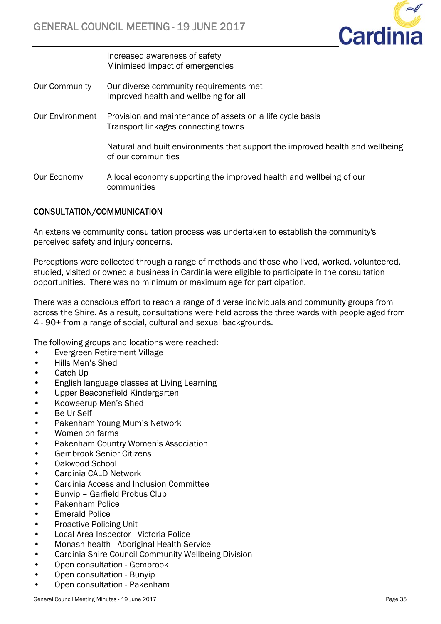

 Increased awareness of safety Minimised impact of emergencies

- Our Community Our diverse community requirements met Improved health and wellbeing for all
- Our Environment Provision and maintenance of assets on a life cycle basis Transport linkages connecting towns

 Natural and built environments that support the improved health and wellbeing of our communities

Our Economy A local economy supporting the improved health and wellbeing of our communities

### CONSULTATION/COMMUNICATION

An extensive community consultation process was undertaken to establish the community's perceived safety and injury concerns.

Perceptions were collected through a range of methods and those who lived, worked, volunteered, studied, visited or owned a business in Cardinia were eligible to participate in the consultation opportunities. There was no minimum or maximum age for participation.

There was a conscious effort to reach a range of diverse individuals and community groups from across the Shire. As a result, consultations were held across the three wards with people aged from 4 - 90+ from a range of social, cultural and sexual backgrounds.

The following groups and locations were reached:

- Evergreen Retirement Village
- Hills Men's Shed
- Catch Up
- English language classes at Living Learning
- Upper Beaconsfield Kindergarten
- Kooweerup Men's Shed
- Be Ur Self
- Pakenham Young Mum's Network
- Women on farms
- Pakenham Country Women's Association
- Gembrook Senior Citizens
- Oakwood School
- Cardinia CALD Network
- Cardinia Access and Inclusion Committee
- Bunyip Garfield Probus Club
- Pakenham Police
- Emerald Police
- Proactive Policing Unit
- Local Area Inspector Victoria Police
- Monash health Aboriginal Health Service
- Cardinia Shire Council Community Wellbeing Division
- Open consultation Gembrook
- Open consultation Bunyip
- Open consultation Pakenham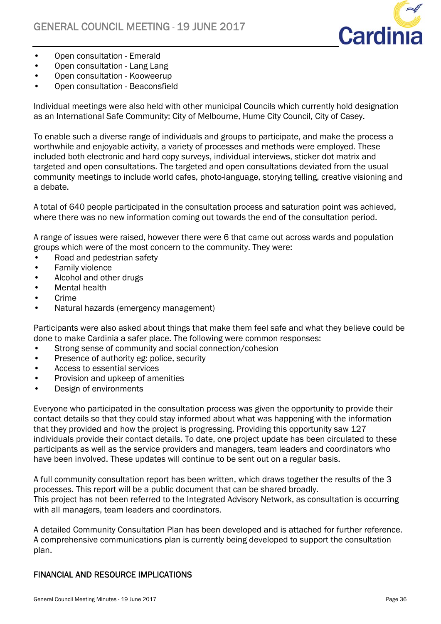

- Open consultation Emerald
- Open consultation Lang Lang
- Open consultation Kooweerup
- Open consultation Beaconsfield

Individual meetings were also held with other municipal Councils which currently hold designation as an International Safe Community; City of Melbourne, Hume City Council, City of Casey.

To enable such a diverse range of individuals and groups to participate, and make the process a worthwhile and enjoyable activity, a variety of processes and methods were employed. These included both electronic and hard copy surveys, individual interviews, sticker dot matrix and targeted and open consultations. The targeted and open consultations deviated from the usual community meetings to include world cafes, photo-language, storying telling, creative visioning and a debate.

A total of 640 people participated in the consultation process and saturation point was achieved, where there was no new information coming out towards the end of the consultation period.

A range of issues were raised, however there were 6 that came out across wards and population groups which were of the most concern to the community. They were:

- Road and pedestrian safety
- Family violence
- Alcohol and other drugs
- Mental health
- Crime
- Natural hazards (emergency management)

Participants were also asked about things that make them feel safe and what they believe could be done to make Cardinia a safer place. The following were common responses:

- Strong sense of community and social connection/cohesion
- Presence of authority eg: police, security
- Access to essential services
- Provision and upkeep of amenities
- Design of environments

Everyone who participated in the consultation process was given the opportunity to provide their contact details so that they could stay informed about what was happening with the information that they provided and how the project is progressing. Providing this opportunity saw 127 individuals provide their contact details. To date, one project update has been circulated to these participants as well as the service providers and managers, team leaders and coordinators who have been involved. These updates will continue to be sent out on a regular basis.

A full community consultation report has been written, which draws together the results of the 3 processes. This report will be a public document that can be shared broadly.

This project has not been referred to the Integrated Advisory Network, as consultation is occurring with all managers, team leaders and coordinators.

A detailed Community Consultation Plan has been developed and is attached for further reference. A comprehensive communications plan is currently being developed to support the consultation plan.

### FINANCIAL AND RESOURCE IMPLICATIONS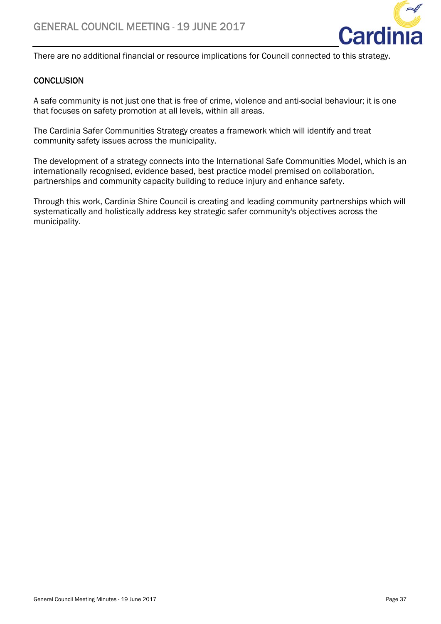

There are no additional financial or resource implications for Council connected to this strategy.

### **CONCLUSION**

A safe community is not just one that is free of crime, violence and anti-social behaviour; it is one that focuses on safety promotion at all levels, within all areas.

The Cardinia Safer Communities Strategy creates a framework which will identify and treat community safety issues across the municipality.

The development of a strategy connects into the International Safe Communities Model, which is an internationally recognised, evidence based, best practice model premised on collaboration, partnerships and community capacity building to reduce injury and enhance safety.

Through this work, Cardinia Shire Council is creating and leading community partnerships which will systematically and holistically address key strategic safer community's objectives across the municipality.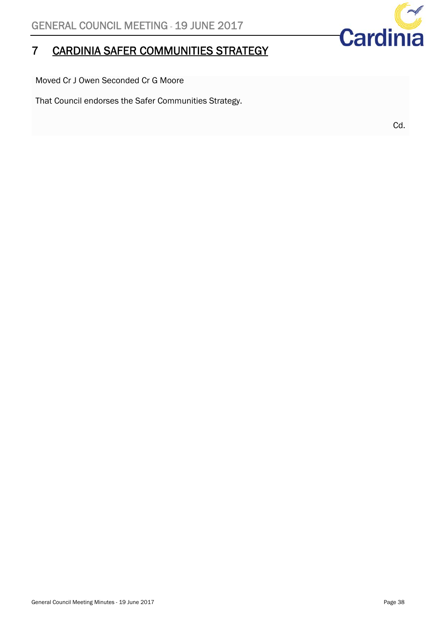# 7 CARDINIA SAFER COMMUNITIES STRATEGY

Moved Cr J Owen Seconded Cr G Moore

That Council endorses the Safer Communities Strategy.

Cd.

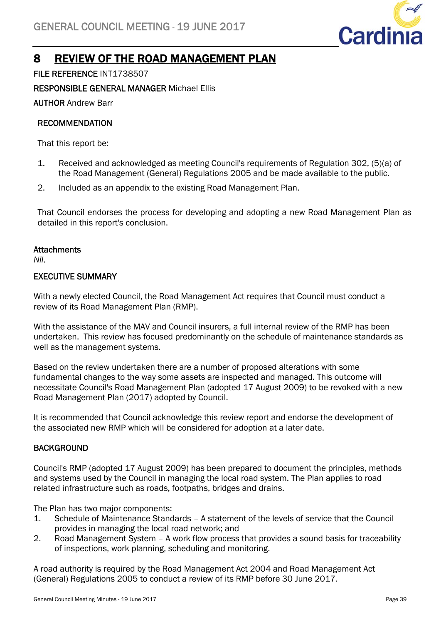

## 8 REVIEW OF THE ROAD MANAGEMENT PLAN

FILE REFERENCE INT1738507

RESPONSIBLE GENERAL MANAGER Michael Ellis

AUTHOR Andrew Barr

### RECOMMENDATION

That this report be:

- 1. Received and acknowledged as meeting Council's requirements of Regulation 302, (5)(a) of the Road Management (General) Regulations 2005 and be made available to the public.
- 2. Included as an appendix to the existing Road Management Plan.

That Council endorses the process for developing and adopting a new Road Management Plan as detailed in this report's conclusion.

### **Attachments**

*Nil*.

### EXECUTIVE SUMMARY

With a newly elected Council, the Road Management Act requires that Council must conduct a review of its Road Management Plan (RMP).

With the assistance of the MAV and Council insurers, a full internal review of the RMP has been undertaken. This review has focused predominantly on the schedule of maintenance standards as well as the management systems.

Based on the review undertaken there are a number of proposed alterations with some fundamental changes to the way some assets are inspected and managed. This outcome will necessitate Council's Road Management Plan (adopted 17 August 2009) to be revoked with a new Road Management Plan (2017) adopted by Council.

It is recommended that Council acknowledge this review report and endorse the development of the associated new RMP which will be considered for adoption at a later date.

### **BACKGROUND**

Council's RMP (adopted 17 August 2009) has been prepared to document the principles, methods and systems used by the Council in managing the local road system. The Plan applies to road related infrastructure such as roads, footpaths, bridges and drains.

The Plan has two major components:

- 1. Schedule of Maintenance Standards A statement of the levels of service that the Council provides in managing the local road network; and
- 2. Road Management System A work flow process that provides a sound basis for traceability of inspections, work planning, scheduling and monitoring.

A road authority is required by the Road Management Act 2004 and Road Management Act (General) Regulations 2005 to conduct a review of its RMP before 30 June 2017.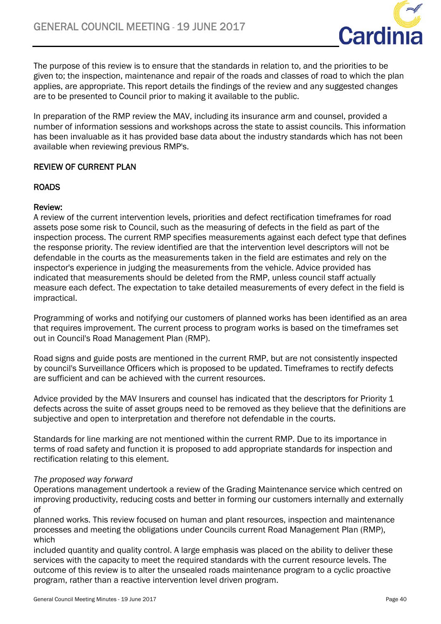

The purpose of this review is to ensure that the standards in relation to, and the priorities to be given to; the inspection, maintenance and repair of the roads and classes of road to which the plan applies, are appropriate. This report details the findings of the review and any suggested changes are to be presented to Council prior to making it available to the public.

In preparation of the RMP review the MAV, including its insurance arm and counsel, provided a number of information sessions and workshops across the state to assist councils. This information has been invaluable as it has provided base data about the industry standards which has not been available when reviewing previous RMP's.

### REVIEW OF CURRENT PLAN

### ROADS

### Review:

A review of the current intervention levels, priorities and defect rectification timeframes for road assets pose some risk to Council, such as the measuring of defects in the field as part of the inspection process. The current RMP specifies measurements against each defect type that defines the response priority. The review identified are that the intervention level descriptors will not be defendable in the courts as the measurements taken in the field are estimates and rely on the inspector's experience in judging the measurements from the vehicle. Advice provided has indicated that measurements should be deleted from the RMP, unless council staff actually measure each defect. The expectation to take detailed measurements of every defect in the field is impractical.

Programming of works and notifying our customers of planned works has been identified as an area that requires improvement. The current process to program works is based on the timeframes set out in Council's Road Management Plan (RMP).

Road signs and guide posts are mentioned in the current RMP, but are not consistently inspected by council's Surveillance Officers which is proposed to be updated. Timeframes to rectify defects are sufficient and can be achieved with the current resources.

Advice provided by the MAV Insurers and counsel has indicated that the descriptors for Priority 1 defects across the suite of asset groups need to be removed as they believe that the definitions are subjective and open to interpretation and therefore not defendable in the courts.

Standards for line marking are not mentioned within the current RMP. Due to its importance in terms of road safety and function it is proposed to add appropriate standards for inspection and rectification relating to this element.

### *The proposed way forward*

Operations management undertook a review of the Grading Maintenance service which centred on improving productivity, reducing costs and better in forming our customers internally and externally of

planned works. This review focused on human and plant resources, inspection and maintenance processes and meeting the obligations under Councils current Road Management Plan (RMP), which

included quantity and quality control. A large emphasis was placed on the ability to deliver these services with the capacity to meet the required standards with the current resource levels. The outcome of this review is to alter the unsealed roads maintenance program to a cyclic proactive program, rather than a reactive intervention level driven program.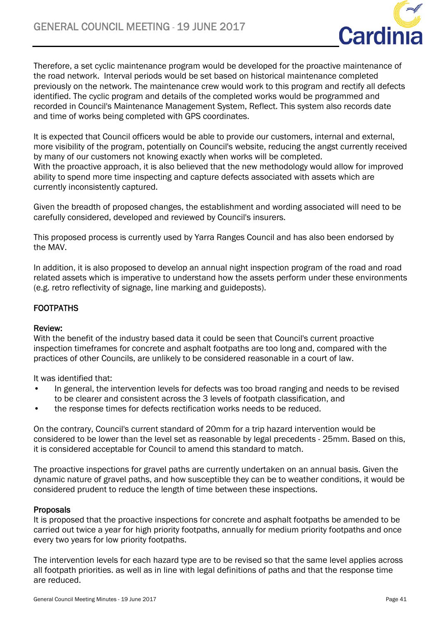

Therefore, a set cyclic maintenance program would be developed for the proactive maintenance of the road network. Interval periods would be set based on historical maintenance completed previously on the network. The maintenance crew would work to this program and rectify all defects identified. The cyclic program and details of the completed works would be programmed and recorded in Council's Maintenance Management System, Reflect. This system also records date and time of works being completed with GPS coordinates.

It is expected that Council officers would be able to provide our customers, internal and external, more visibility of the program, potentially on Council's website, reducing the angst currently received by many of our customers not knowing exactly when works will be completed. With the proactive approach, it is also believed that the new methodology would allow for improved ability to spend more time inspecting and capture defects associated with assets which are currently inconsistently captured.

Given the breadth of proposed changes, the establishment and wording associated will need to be carefully considered, developed and reviewed by Council's insurers.

This proposed process is currently used by Yarra Ranges Council and has also been endorsed by the MAV.

In addition, it is also proposed to develop an annual night inspection program of the road and road related assets which is imperative to understand how the assets perform under these environments (e.g. retro reflectivity of signage, line marking and guideposts).

### **FOOTPATHS**

### Review:

With the benefit of the industry based data it could be seen that Council's current proactive inspection timeframes for concrete and asphalt footpaths are too long and, compared with the practices of other Councils, are unlikely to be considered reasonable in a court of law.

It was identified that:

- In general, the intervention levels for defects was too broad ranging and needs to be revised to be clearer and consistent across the 3 levels of footpath classification, and
- the response times for defects rectification works needs to be reduced.

On the contrary, Council's current standard of 20mm for a trip hazard intervention would be considered to be lower than the level set as reasonable by legal precedents - 25mm. Based on this, it is considered acceptable for Council to amend this standard to match.

The proactive inspections for gravel paths are currently undertaken on an annual basis. Given the dynamic nature of gravel paths, and how susceptible they can be to weather conditions, it would be considered prudent to reduce the length of time between these inspections.

### Proposals

It is proposed that the proactive inspections for concrete and asphalt footpaths be amended to be carried out twice a year for high priority footpaths, annually for medium priority footpaths and once every two years for low priority footpaths.

The intervention levels for each hazard type are to be revised so that the same level applies across all footpath priorities. as well as in line with legal definitions of paths and that the response time are reduced.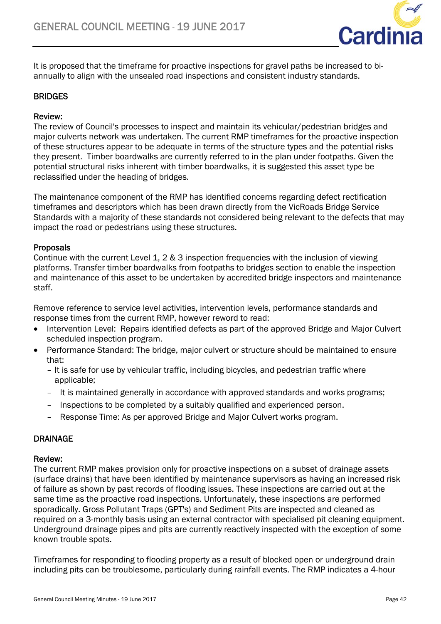

It is proposed that the timeframe for proactive inspections for gravel paths be increased to biannually to align with the unsealed road inspections and consistent industry standards.

### BRIDGES

### Review:

The review of Council's processes to inspect and maintain its vehicular/pedestrian bridges and major culverts network was undertaken. The current RMP timeframes for the proactive inspection of these structures appear to be adequate in terms of the structure types and the potential risks they present. Timber boardwalks are currently referred to in the plan under footpaths. Given the potential structural risks inherent with timber boardwalks, it is suggested this asset type be reclassified under the heading of bridges.

The maintenance component of the RMP has identified concerns regarding defect rectification timeframes and descriptors which has been drawn directly from the VicRoads Bridge Service Standards with a majority of these standards not considered being relevant to the defects that may impact the road or pedestrians using these structures.

### Proposals

Continue with the current Level 1, 2 & 3 inspection frequencies with the inclusion of viewing platforms. Transfer timber boardwalks from footpaths to bridges section to enable the inspection and maintenance of this asset to be undertaken by accredited bridge inspectors and maintenance staff.

Remove reference to service level activities, intervention levels, performance standards and response times from the current RMP, however reword to read:

- Intervention Level: Repairs identified defects as part of the approved Bridge and Major Culvert scheduled inspection program.
- Performance Standard: The bridge, major culvert or structure should be maintained to ensure that:
	- It is safe for use by vehicular traffic, including bicycles, and pedestrian traffic where applicable;
	- It is maintained generally in accordance with approved standards and works programs;
	- Inspections to be completed by a suitably qualified and experienced person.
	- Response Time: As per approved Bridge and Major Culvert works program.

### DRAINAGE

### Review:

The current RMP makes provision only for proactive inspections on a subset of drainage assets (surface drains) that have been identified by maintenance supervisors as having an increased risk of failure as shown by past records of flooding issues. These inspections are carried out at the same time as the proactive road inspections. Unfortunately, these inspections are performed sporadically. Gross Pollutant Traps (GPT's) and Sediment Pits are inspected and cleaned as required on a 3-monthly basis using an external contractor with specialised pit cleaning equipment. Underground drainage pipes and pits are currently reactively inspected with the exception of some known trouble spots.

Timeframes for responding to flooding property as a result of blocked open or underground drain including pits can be troublesome, particularly during rainfall events. The RMP indicates a 4-hour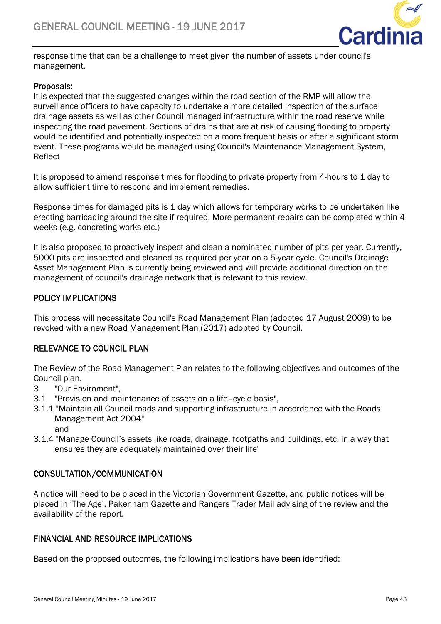

response time that can be a challenge to meet given the number of assets under council's management.

### Proposals:

It is expected that the suggested changes within the road section of the RMP will allow the surveillance officers to have capacity to undertake a more detailed inspection of the surface drainage assets as well as other Council managed infrastructure within the road reserve while inspecting the road pavement. Sections of drains that are at risk of causing flooding to property would be identified and potentially inspected on a more frequent basis or after a significant storm event. These programs would be managed using Council's Maintenance Management System, Reflect

It is proposed to amend response times for flooding to private property from 4-hours to 1 day to allow sufficient time to respond and implement remedies.

Response times for damaged pits is 1 day which allows for temporary works to be undertaken like erecting barricading around the site if required. More permanent repairs can be completed within 4 weeks (e.g. concreting works etc.)

It is also proposed to proactively inspect and clean a nominated number of pits per year. Currently, 5000 pits are inspected and cleaned as required per year on a 5-year cycle. Council's Drainage Asset Management Plan is currently being reviewed and will provide additional direction on the management of council's drainage network that is relevant to this review.

### POLICY IMPLICATIONS

This process will necessitate Council's Road Management Plan (adopted 17 August 2009) to be revoked with a new Road Management Plan (2017) adopted by Council.

### RELEVANCE TO COUNCIL PLAN

The Review of the Road Management Plan relates to the following objectives and outcomes of the Council plan.

- 3 "Our Enviroment",
- 3.1 "Provision and maintenance of assets on a life–cycle basis",
- 3.1.1 "Maintain all Council roads and supporting infrastructure in accordance with the Roads Management Act 2004"

and

3.1.4 "Manage Council's assets like roads, drainage, footpaths and buildings, etc. in a way that ensures they are adequately maintained over their life"

### CONSULTATION/COMMUNICATION

A notice will need to be placed in the Victorian Government Gazette, and public notices will be placed in 'The Age', Pakenham Gazette and Rangers Trader Mail advising of the review and the availability of the report.

### FINANCIAL AND RESOURCE IMPLICATIONS

Based on the proposed outcomes, the following implications have been identified: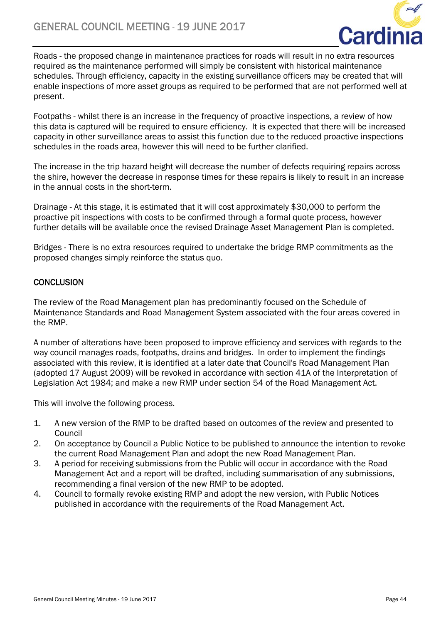

Roads - the proposed change in maintenance practices for roads will result in no extra resources required as the maintenance performed will simply be consistent with historical maintenance schedules. Through efficiency, capacity in the existing surveillance officers may be created that will enable inspections of more asset groups as required to be performed that are not performed well at present.

Footpaths - whilst there is an increase in the frequency of proactive inspections, a review of how this data is captured will be required to ensure efficiency. It is expected that there will be increased capacity in other surveillance areas to assist this function due to the reduced proactive inspections schedules in the roads area, however this will need to be further clarified.

The increase in the trip hazard height will decrease the number of defects requiring repairs across the shire, however the decrease in response times for these repairs is likely to result in an increase in the annual costs in the short-term.

Drainage - At this stage, it is estimated that it will cost approximately \$30,000 to perform the proactive pit inspections with costs to be confirmed through a formal quote process, however further details will be available once the revised Drainage Asset Management Plan is completed.

Bridges - There is no extra resources required to undertake the bridge RMP commitments as the proposed changes simply reinforce the status quo.

### **CONCLUSION**

The review of the Road Management plan has predominantly focused on the Schedule of Maintenance Standards and Road Management System associated with the four areas covered in the RMP.

A number of alterations have been proposed to improve efficiency and services with regards to the way council manages roads, footpaths, drains and bridges. In order to implement the findings associated with this review, it is identified at a later date that Council's Road Management Plan (adopted 17 August 2009) will be revoked in accordance with section 41A of the Interpretation of Legislation Act 1984; and make a new RMP under section 54 of the Road Management Act.

This will involve the following process.

- 1. A new version of the RMP to be drafted based on outcomes of the review and presented to Council
- 2. On acceptance by Council a Public Notice to be published to announce the intention to revoke the current Road Management Plan and adopt the new Road Management Plan.
- 3. A period for receiving submissions from the Public will occur in accordance with the Road Management Act and a report will be drafted, including summarisation of any submissions, recommending a final version of the new RMP to be adopted.
- 4. Council to formally revoke existing RMP and adopt the new version, with Public Notices published in accordance with the requirements of the Road Management Act.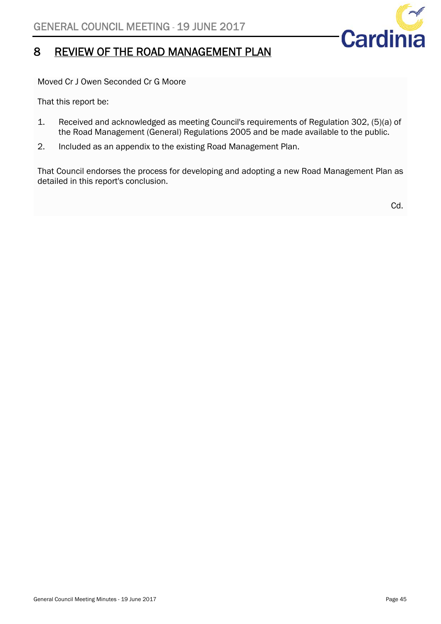

### 8 REVIEW OF THE ROAD MANAGEMENT PLAN

Moved Cr J Owen Seconded Cr G Moore

That this report be:

- 1. Received and acknowledged as meeting Council's requirements of Regulation 302, (5)(a) of the Road Management (General) Regulations 2005 and be made available to the public.
- 2. Included as an appendix to the existing Road Management Plan.

That Council endorses the process for developing and adopting a new Road Management Plan as detailed in this report's conclusion.

Cd.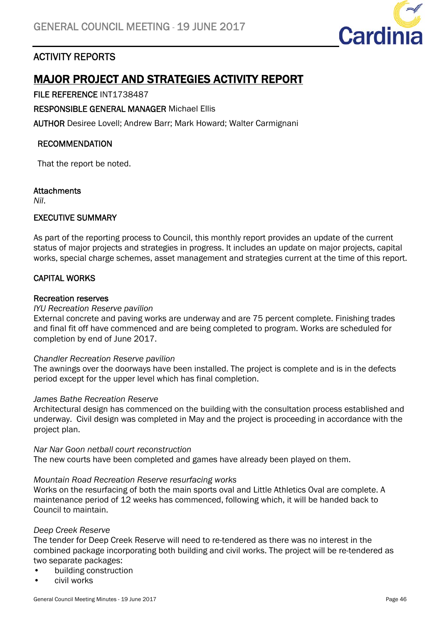

### ACTIVITY REPORTS

# MAJOR PROJECT AND STRATEGIES ACTIVITY REPORT

### FILE REFERENCE INT1738487

RESPONSIBLE GENERAL MANAGER Michael Ellis

AUTHOR Desiree Lovell; Andrew Barr; Mark Howard; Walter Carmignani

### RECOMMENDATION

That the report be noted.

### **Attachments**

*Nil*.

### EXECUTIVE SUMMARY

As part of the reporting process to Council, this monthly report provides an update of the current status of major projects and strategies in progress. It includes an update on major projects, capital works, special charge schemes, asset management and strategies current at the time of this report.

### CAPITAL WORKS

### Recreation reserves

### *IYU Recreation Reserve pavilion*

External concrete and paving works are underway and are 75 percent complete. Finishing trades and final fit off have commenced and are being completed to program. Works are scheduled for completion by end of June 2017.

### *Chandler Recreation Reserve pavilion*

The awnings over the doorways have been installed. The project is complete and is in the defects period except for the upper level which has final completion.

### *James Bathe Recreation Reserve*

Architectural design has commenced on the building with the consultation process established and underway. Civil design was completed in May and the project is proceeding in accordance with the project plan.

#### *Nar Nar Goon netball court reconstruction*

The new courts have been completed and games have already been played on them.

### *Mountain Road Recreation Reserve resurfacing works*

Works on the resurfacing of both the main sports oval and Little Athletics Oval are complete. A maintenance period of 12 weeks has commenced, following which, it will be handed back to Council to maintain.

### *Deep Creek Reserve*

The tender for Deep Creek Reserve will need to re-tendered as there was no interest in the combined package incorporating both building and civil works. The project will be re-tendered as two separate packages:

- building construction
- civil works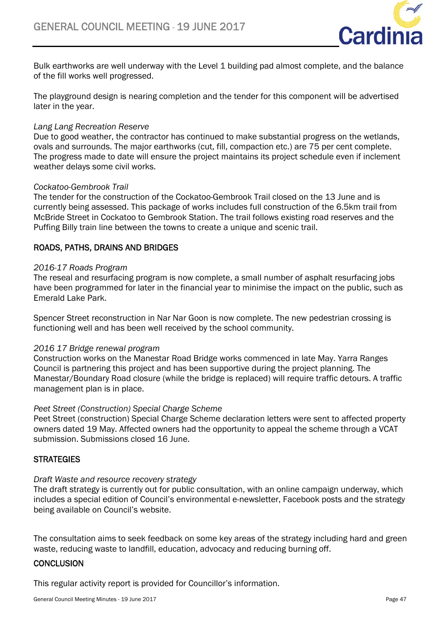

Bulk earthworks are well underway with the Level 1 building pad almost complete, and the balance of the fill works well progressed.

The playground design is nearing completion and the tender for this component will be advertised later in the year.

### *Lang Lang Recreation Reserve*

Due to good weather, the contractor has continued to make substantial progress on the wetlands, ovals and surrounds. The major earthworks (cut, fill, compaction etc.) are 75 per cent complete. The progress made to date will ensure the project maintains its project schedule even if inclement weather delays some civil works.

### *Cockatoo-Gembrook Trail*

The tender for the construction of the Cockatoo-Gembrook Trail closed on the 13 June and is currently being assessed. This package of works includes full construction of the 6.5km trail from McBride Street in Cockatoo to Gembrook Station. The trail follows existing road reserves and the Puffing Billy train line between the towns to create a unique and scenic trail.

### ROADS, PATHS, DRAINS AND BRIDGES

### *2016-17 Roads Program*

The reseal and resurfacing program is now complete, a small number of asphalt resurfacing jobs have been programmed for later in the financial year to minimise the impact on the public, such as Emerald Lake Park.

Spencer Street reconstruction in Nar Nar Goon is now complete. The new pedestrian crossing is functioning well and has been well received by the school community.

### *2016 17 Bridge renewal program*

Construction works on the Manestar Road Bridge works commenced in late May. Yarra Ranges Council is partnering this project and has been supportive during the project planning. The Manestar/Boundary Road closure (while the bridge is replaced) will require traffic detours. A traffic management plan is in place.

### *Peet Street (Construction) Special Charge Scheme*

Peet Street (construction) Special Charge Scheme declaration letters were sent to affected property owners dated 19 May. Affected owners had the opportunity to appeal the scheme through a VCAT submission. Submissions closed 16 June.

### **STRATEGIES**

### *Draft Waste and resource recovery strategy*

The draft strategy is currently out for public consultation, with an online campaign underway, which includes a special edition of Council's environmental e-newsletter, Facebook posts and the strategy being available on Council's website.

The consultation aims to seek feedback on some key areas of the strategy including hard and green waste, reducing waste to landfill, education, advocacy and reducing burning off.

### **CONCLUSION**

This regular activity report is provided for Councillor's information.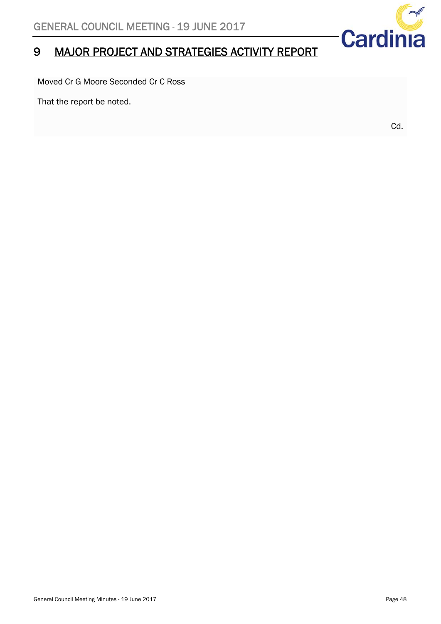# 9 MAJOR PROJECT AND STRATEGIES ACTIVITY REPORT

Moved Cr G Moore Seconded Cr C Ross

That the report be noted.

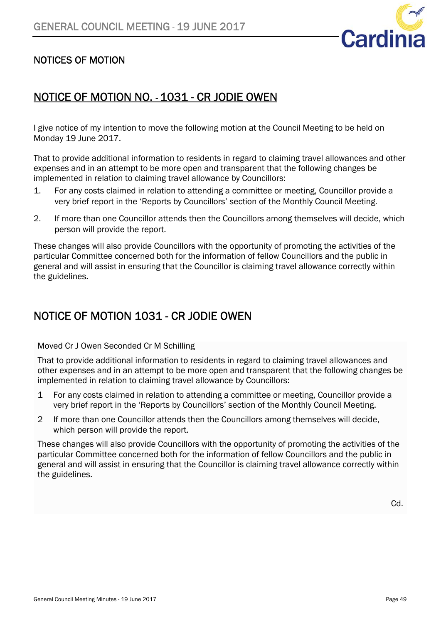

### NOTICES OF MOTION

### NOTICE OF MOTION NO. - 1031 - CR JODIE OWEN

I give notice of my intention to move the following motion at the Council Meeting to be held on Monday 19 June 2017.

That to provide additional information to residents in regard to claiming travel allowances and other expenses and in an attempt to be more open and transparent that the following changes be implemented in relation to claiming travel allowance by Councillors:

- 1. For any costs claimed in relation to attending a committee or meeting, Councillor provide a very brief report in the 'Reports by Councillors' section of the Monthly Council Meeting.
- 2. If more than one Councillor attends then the Councillors among themselves will decide, which person will provide the report.

These changes will also provide Councillors with the opportunity of promoting the activities of the particular Committee concerned both for the information of fellow Councillors and the public in general and will assist in ensuring that the Councillor is claiming travel allowance correctly within the guidelines.

### NOTICE OF MOTION 1031 - CR JODIE OWEN

Moved Cr J Owen Seconded Cr M Schilling

That to provide additional information to residents in regard to claiming travel allowances and other expenses and in an attempt to be more open and transparent that the following changes be implemented in relation to claiming travel allowance by Councillors:

- 1 For any costs claimed in relation to attending a committee or meeting, Councillor provide a very brief report in the 'Reports by Councillors' section of the Monthly Council Meeting.
- 2 If more than one Councillor attends then the Councillors among themselves will decide, which person will provide the report.

These changes will also provide Councillors with the opportunity of promoting the activities of the particular Committee concerned both for the information of fellow Councillors and the public in general and will assist in ensuring that the Councillor is claiming travel allowance correctly within the guidelines.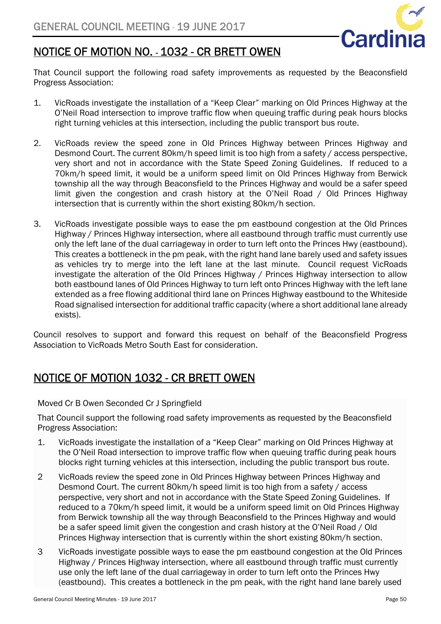

# NOTICE OF MOTION NO. - 1032 - CR BRETT OWEN

That Council support the following road safety improvements as requested by the Beaconsfield Progress Association:

- 1. VicRoads investigate the installation of a "Keep Clear" marking on Old Princes Highway at the O'Neil Road intersection to improve traffic flow when queuing traffic during peak hours blocks right turning vehicles at this intersection, including the public transport bus route.
- 2. VicRoads review the speed zone in Old Princes Highway between Princes Highway and Desmond Court. The current 80km/h speed limit is too high from a safety / access perspective, very short and not in accordance with the State Speed Zoning Guidelines. If reduced to a 70km/h speed limit, it would be a uniform speed limit on Old Princes Highway from Berwick township all the way through Beaconsfield to the Princes Highway and would be a safer speed limit given the congestion and crash history at the O'Neil Road / Old Princes Highway intersection that is currently within the short existing 80km/h section.
- 3. VicRoads investigate possible ways to ease the pm eastbound congestion at the Old Princes Highway / Princes Highway intersection, where all eastbound through traffic must currently use only the left lane of the dual carriageway in order to turn left onto the Princes Hwy (eastbound). This creates a bottleneck in the pm peak, with the right hand lane barely used and safety issues as vehicles try to merge into the left lane at the last minute. Council request VicRoads investigate the alteration of the Old Princes Highway / Princes Highway intersection to allow both eastbound lanes of Old Princes Highway to turn left onto Princes Highway with the left lane extended as a free flowing additional third lane on Princes Highway eastbound to the Whiteside Road signalised intersection for additional traffic capacity (where a short additional lane already exists).

Council resolves to support and forward this request on behalf of the Beaconsfield Progress Association to VicRoads Metro South East for consideration.

# NOTICE OF MOTION 1032 - CR BRETT OWEN

Moved Cr B Owen Seconded Cr J Springfield

That Council support the following road safety improvements as requested by the Beaconsfield Progress Association:

- 1. VicRoads investigate the installation of a "Keep Clear" marking on Old Princes Highway at the O'Neil Road intersection to improve traffic flow when queuing traffic during peak hours blocks right turning vehicles at this intersection, including the public transport bus route.
- 2 VicRoads review the speed zone in Old Princes Highway between Princes Highway and Desmond Court. The current 80km/h speed limit is too high from a safety / access perspective, very short and not in accordance with the State Speed Zoning Guidelines. If reduced to a 70km/h speed limit, it would be a uniform speed limit on Old Princes Highway from Berwick township all the way through Beaconsfield to the Princes Highway and would be a safer speed limit given the congestion and crash history at the O'Neil Road / Old Princes Highway intersection that is currently within the short existing 80km/h section.
- 3 VicRoads investigate possible ways to ease the pm eastbound congestion at the Old Princes Highway / Princes Highway intersection, where all eastbound through traffic must currently use only the left lane of the dual carriageway in order to turn left onto the Princes Hwy (eastbound). This creates a bottleneck in the pm peak, with the right hand lane barely used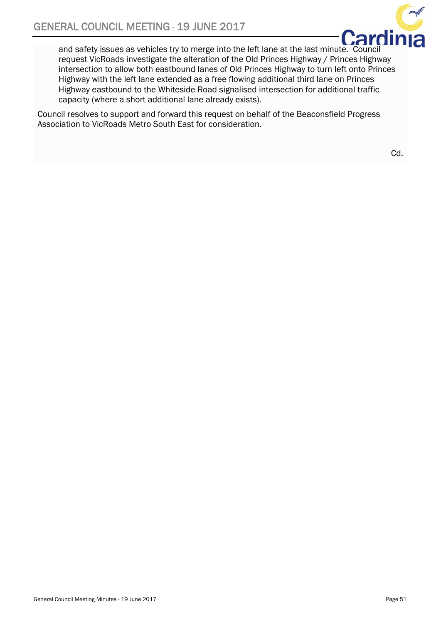

and safety issues as vehicles try to merge into the left lane at the last minute. Council request VicRoads investigate the alteration of the Old Princes Highway / Princes Highway intersection to allow both eastbound lanes of Old Princes Highway to turn left onto Princes Highway with the left lane extended as a free flowing additional third lane on Princes Highway eastbound to the Whiteside Road signalised intersection for additional traffic capacity (where a short additional lane already exists).

Council resolves to support and forward this request on behalf of the Beaconsfield Progress Association to VicRoads Metro South East for consideration.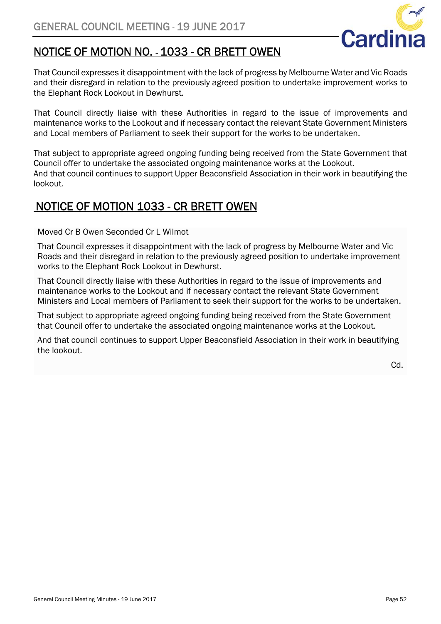

# NOTICE OF MOTION NO. - 1033 - CR BRETT OWEN

That Council expresses it disappointment with the lack of progress by Melbourne Water and Vic Roads and their disregard in relation to the previously agreed position to undertake improvement works to the Elephant Rock Lookout in Dewhurst.

That Council directly liaise with these Authorities in regard to the issue of improvements and maintenance works to the Lookout and if necessary contact the relevant State Government Ministers and Local members of Parliament to seek their support for the works to be undertaken.

That subject to appropriate agreed ongoing funding being received from the State Government that Council offer to undertake the associated ongoing maintenance works at the Lookout. And that council continues to support Upper Beaconsfield Association in their work in beautifying the lookout.

### NOTICE OF MOTION 1033 - CR BRETT OWEN

### Moved Cr B Owen Seconded Cr L Wilmot

That Council expresses it disappointment with the lack of progress by Melbourne Water and Vic Roads and their disregard in relation to the previously agreed position to undertake improvement works to the Elephant Rock Lookout in Dewhurst.

That Council directly liaise with these Authorities in regard to the issue of improvements and maintenance works to the Lookout and if necessary contact the relevant State Government Ministers and Local members of Parliament to seek their support for the works to be undertaken.

That subject to appropriate agreed ongoing funding being received from the State Government that Council offer to undertake the associated ongoing maintenance works at the Lookout.

And that council continues to support Upper Beaconsfield Association in their work in beautifying the lookout.

Cd.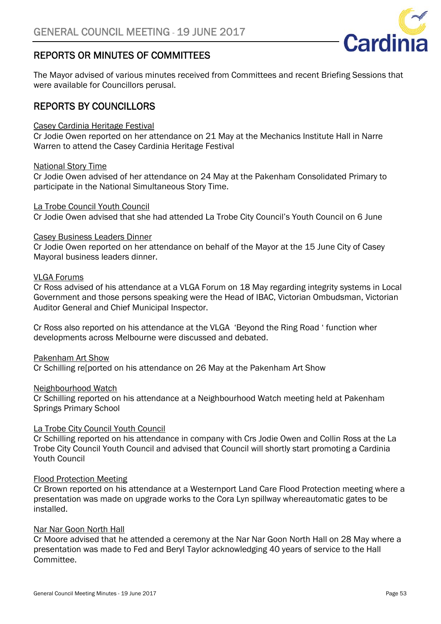### REPORTS OR MINUTES OF COMMITTEES

The Mayor advised of various minutes received from Committees and recent Briefing Sessions that were available for Councillors perusal.

### REPORTS BY COUNCILLORS

### Casey Cardinia Heritage Festival

Cr Jodie Owen reported on her attendance on 21 May at the Mechanics Institute Hall in Narre Warren to attend the Casey Cardinia Heritage Festival

### National Story Time

Cr Jodie Owen advised of her attendance on 24 May at the Pakenham Consolidated Primary to participate in the National Simultaneous Story Time.

### La Trobe Council Youth Council

Cr Jodie Owen advised that she had attended La Trobe City Council's Youth Council on 6 June

### Casey Business Leaders Dinner

Cr Jodie Owen reported on her attendance on behalf of the Mayor at the 15 June City of Casey Mayoral business leaders dinner.

### VLGA Forums

Cr Ross advised of his attendance at a VLGA Forum on 18 May regarding integrity systems in Local Government and those persons speaking were the Head of IBAC, Victorian Ombudsman, Victorian Auditor General and Chief Municipal Inspector.

Cr Ross also reported on his attendance at the VLGA 'Beyond the Ring Road ' function wher developments across Melbourne were discussed and debated.

### Pakenham Art Show

Cr Schilling re[ported on his attendance on 26 May at the Pakenham Art Show

### Neighbourhood Watch

Cr Schilling reported on his attendance at a Neighbourhood Watch meeting held at Pakenham Springs Primary School

### La Trobe City Council Youth Council

Cr Schilling reported on his attendance in company with Crs Jodie Owen and Collin Ross at the La Trobe City Council Youth Council and advised that Council will shortly start promoting a Cardinia Youth Council

### Flood Protection Meeting

Cr Brown reported on his attendance at a Westernport Land Care Flood Protection meeting where a presentation was made on upgrade works to the Cora Lyn spillway whereautomatic gates to be installed.

### Nar Nar Goon North Hall

Cr Moore advised that he attended a ceremony at the Nar Nar Goon North Hall on 28 May where a presentation was made to Fed and Beryl Taylor acknowledging 40 years of service to the Hall Committee.

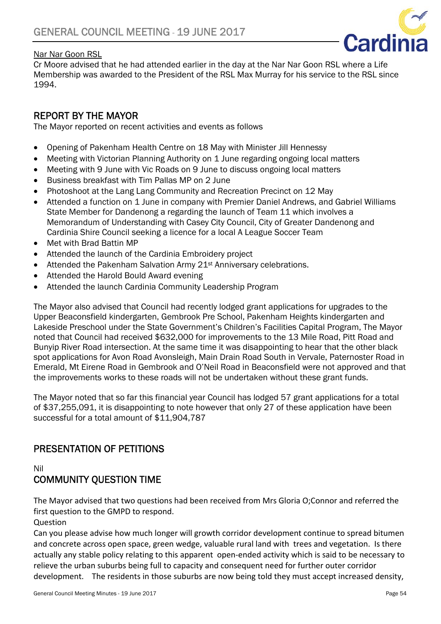### Nar Nar Goon RSL



Cr Moore advised that he had attended earlier in the day at the Nar Nar Goon RSL where a Life Membership was awarded to the President of the RSL Max Murray for his service to the RSL since 1994.

### REPORT BY THE MAYOR

The Mayor reported on recent activities and events as follows

- Opening of Pakenham Health Centre on 18 May with Minister Jill Hennessy
- Meeting with Victorian Planning Authority on 1 June regarding ongoing local matters
- Meeting with 9 June with Vic Roads on 9 June to discuss ongoing local matters
- Business breakfast with Tim Pallas MP on 2 June
- Photoshoot at the Lang Lang Community and Recreation Precinct on 12 May
- Attended a function on 1 June in company with Premier Daniel Andrews, and Gabriel Williams State Member for Dandenong a regarding the launch of Team 11 which involves a Memorandum of Understanding with Casey City Council, City of Greater Dandenong and Cardinia Shire Council seeking a licence for a local A League Soccer Team
- Met with Brad Battin MP
- Attended the launch of the Cardinia Embroidery project
- Attended the Pakenham Salvation Army 21<sup>st</sup> Anniversary celebrations.
- Attended the Harold Bould Award evening
- Attended the launch Cardinia Community Leadership Program

The Mayor also advised that Council had recently lodged grant applications for upgrades to the Upper Beaconsfield kindergarten, Gembrook Pre School, Pakenham Heights kindergarten and Lakeside Preschool under the State Government's Children's Facilities Capital Program, The Mayor noted that Council had received \$632,000 for improvements to the 13 Mile Road, Pitt Road and Bunyip River Road intersection. At the same time it was disappointing to hear that the other black spot applications for Avon Road Avonsleigh, Main Drain Road South in Vervale, Paternoster Road in Emerald, Mt Eirene Road in Gembrook and O'Neil Road in Beaconsfield were not approved and that the improvements works to these roads will not be undertaken without these grant funds.

The Mayor noted that so far this financial year Council has lodged 57 grant applications for a total of \$37,255,091, it is disappointing to note however that only 27 of these application have been successful for a total amount of \$11,904,787

### PRESENTATION OF PETITIONS

Nil

### COMMUNITY QUESTION TIME

The Mayor advised that two questions had been received from Mrs Gloria O;Connor and referred the first question to the GMPD to respond.

Question

Can you please advise how much longer will growth corridor development continue to spread bitumen and concrete across open space, green wedge, valuable rural land with trees and vegetation. Is there actually any stable policy relating to this apparent open-ended activity which is said to be necessary to relieve the urban suburbs being full to capacity and consequent need for further outer corridor development. The residents in those suburbs are now being told they must accept increased density,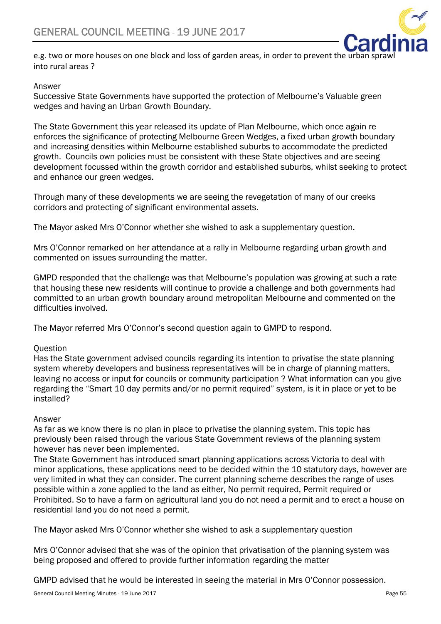

e.g. two or more houses on one block and loss of garden areas, in order to prevent the urban spr into rural areas ?

### Answer

Successive State Governments have supported the protection of Melbourne's Valuable green wedges and having an Urban Growth Boundary.

The State Government this year released its update of Plan Melbourne, which once again re enforces the significance of protecting Melbourne Green Wedges, a fixed urban growth boundary and increasing densities within Melbourne established suburbs to accommodate the predicted growth. Councils own policies must be consistent with these State objectives and are seeing development focussed within the growth corridor and established suburbs, whilst seeking to protect and enhance our green wedges.

Through many of these developments we are seeing the revegetation of many of our creeks corridors and protecting of significant environmental assets.

The Mayor asked Mrs O'Connor whether she wished to ask a supplementary question.

Mrs O'Connor remarked on her attendance at a rally in Melbourne regarding urban growth and commented on issues surrounding the matter.

GMPD responded that the challenge was that Melbourne's population was growing at such a rate that housing these new residents will continue to provide a challenge and both governments had committed to an urban growth boundary around metropolitan Melbourne and commented on the difficulties involved.

The Mayor referred Mrs O'Connor's second question again to GMPD to respond.

### **Ouestion**

Has the State government advised councils regarding its intention to privatise the state planning system whereby developers and business representatives will be in charge of planning matters, leaving no access or input for councils or community participation ? What information can you give regarding the "Smart 10 day permits and/or no permit required" system, is it in place or yet to be installed?

### Answer

As far as we know there is no plan in place to privatise the planning system. This topic has previously been raised through the various State Government reviews of the planning system however has never been implemented.

The State Government has introduced smart planning applications across Victoria to deal with minor applications, these applications need to be decided within the 10 statutory days, however are very limited in what they can consider. The current planning scheme describes the range of uses possible within a zone applied to the land as either, No permit required, Permit required or Prohibited. So to have a farm on agricultural land you do not need a permit and to erect a house on residential land you do not need a permit.

The Mayor asked Mrs O'Connor whether she wished to ask a supplementary question

Mrs O'Connor advised that she was of the opinion that privatisation of the planning system was being proposed and offered to provide further information regarding the matter

GMPD advised that he would be interested in seeing the material in Mrs O'Connor possession.